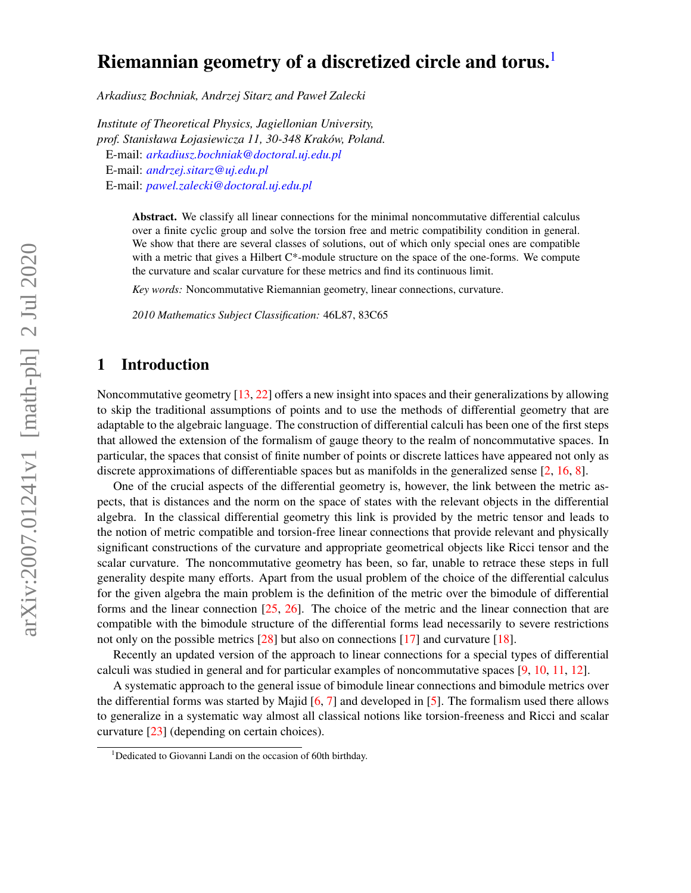# Riemannian geometry of a discretized circle and torus.<sup>[1](#page-0-0)</sup>

*Arkadiusz Bochniak, Andrzej Sitarz and Paweł Zalecki*

*Institute of Theoretical Physics, Jagiellonian University, prof. Stanisława Łojasiewicza 11, 30-348 Kraków, Poland.* E-mail: *[arkadiusz.bochniak@doctoral.uj.edu.pl](mailto:arkadiusz.bochniak@doctoral.uj.edu.pl)* E-mail: *[andrzej.sitarz@uj.edu.pl](mailto:andrzej.sitarz@uj.edu.pl)* E-mail: *[pawel.zalecki@doctoral.uj.edu.pl](mailto:pawel.zalecki@doctoral.uj.edu.pl)*

> Abstract. We classify all linear connections for the minimal noncommutative differential calculus over a finite cyclic group and solve the torsion free and metric compatibility condition in general. We show that there are several classes of solutions, out of which only special ones are compatible with a metric that gives a Hilbert C<sup>\*</sup>-module structure on the space of the one-forms. We compute the curvature and scalar curvature for these metrics and find its continuous limit.

*Key words:* Noncommutative Riemannian geometry, linear connections, curvature.

*2010 Mathematics Subject Classification:* 46L87, 83C65

### 1 Introduction

Noncommutative geometry [\[13,](#page-27-0) [22\]](#page-28-0) offers a new insight into spaces and their generalizations by allowing to skip the traditional assumptions of points and to use the methods of differential geometry that are adaptable to the algebraic language. The construction of differential calculi has been one of the first steps that allowed the extension of the formalism of gauge theory to the realm of noncommutative spaces. In particular, the spaces that consist of finite number of points or discrete lattices have appeared not only as discrete approximations of differentiable spaces but as manifolds in the generalized sense [\[2,](#page-26-0) [16,](#page-27-1) [8\]](#page-27-2).

One of the crucial aspects of the differential geometry is, however, the link between the metric aspects, that is distances and the norm on the space of states with the relevant objects in the differential algebra. In the classical differential geometry this link is provided by the metric tensor and leads to the notion of metric compatible and torsion-free linear connections that provide relevant and physically significant constructions of the curvature and appropriate geometrical objects like Ricci tensor and the scalar curvature. The noncommutative geometry has been, so far, unable to retrace these steps in full generality despite many efforts. Apart from the usual problem of the choice of the differential calculus for the given algebra the main problem is the definition of the metric over the bimodule of differential forms and the linear connection [\[25,](#page-28-1) [26\]](#page-28-2). The choice of the metric and the linear connection that are compatible with the bimodule structure of the differential forms lead necessarily to severe restrictions not only on the possible metrics [\[28\]](#page-28-3) but also on connections [\[17\]](#page-27-3) and curvature [\[18\]](#page-27-4).

Recently an updated version of the approach to linear connections for a special types of differential calculi was studied in general and for particular examples of noncommutative spaces [\[9,](#page-27-5) [10,](#page-27-6) [11,](#page-27-7) [12\]](#page-27-8).

A systematic approach to the general issue of bimodule linear connections and bimodule metrics over the differential forms was started by Majid  $[6, 7]$  $[6, 7]$  $[6, 7]$  and developed in  $[5]$ . The formalism used there allows to generalize in a systematic way almost all classical notions like torsion-freeness and Ricci and scalar curvature [\[23\]](#page-28-4) (depending on certain choices).

<span id="page-0-0"></span><sup>&</sup>lt;sup>1</sup>Dedicated to Giovanni Landi on the occasion of 60th birthday.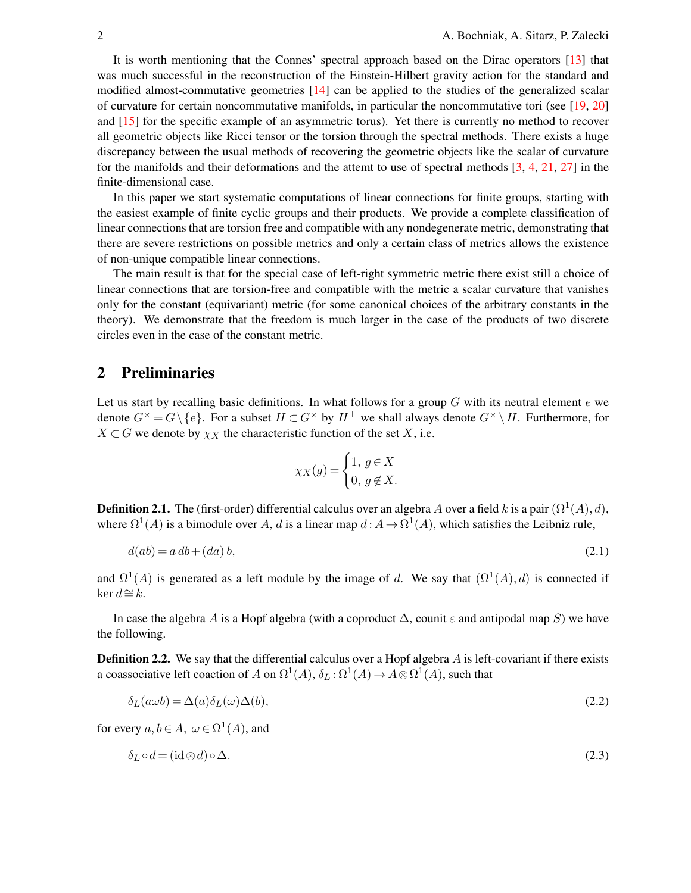It is worth mentioning that the Connes' spectral approach based on the Dirac operators [\[13\]](#page-27-0) that was much successful in the reconstruction of the Einstein-Hilbert gravity action for the standard and modified almost-commutative geometries [\[14\]](#page-27-12) can be applied to the studies of the generalized scalar of curvature for certain noncommutative manifolds, in particular the noncommutative tori (see [\[19,](#page-27-13) [20\]](#page-27-14) and [\[15\]](#page-27-15) for the specific example of an asymmetric torus). Yet there is currently no method to recover all geometric objects like Ricci tensor or the torsion through the spectral methods. There exists a huge discrepancy between the usual methods of recovering the geometric objects like the scalar of curvature for the manifolds and their deformations and the attemt to use of spectral methods [\[3,](#page-26-1) [4,](#page-27-16) [21,](#page-27-17) [27\]](#page-28-5) in the finite-dimensional case.

In this paper we start systematic computations of linear connections for finite groups, starting with the easiest example of finite cyclic groups and their products. We provide a complete classification of linear connections that are torsion free and compatible with any nondegenerate metric, demonstrating that there are severe restrictions on possible metrics and only a certain class of metrics allows the existence of non-unique compatible linear connections.

The main result is that for the special case of left-right symmetric metric there exist still a choice of linear connections that are torsion-free and compatible with the metric a scalar curvature that vanishes only for the constant (equivariant) metric (for some canonical choices of the arbitrary constants in the theory). We demonstrate that the freedom is much larger in the case of the products of two discrete circles even in the case of the constant metric.

### 2 Preliminaries

Let us start by recalling basic definitions. In what follows for a group  $G$  with its neutral element  $e$  we denote  $G^{\times} = G \setminus \{e\}$ . For a subset  $H \subset G^{\times}$  by  $H^{\perp}$  we shall always denote  $G^{\times} \setminus H$ . Furthermore, for  $X \subset G$  we denote by  $\chi_X$  the characteristic function of the set X, i.e.

$$
\chi_X(g) = \begin{cases} 1, & g \in X \\ 0, & g \notin X. \end{cases}
$$

**Definition 2.1.** The (first-order) differential calculus over an algebra A over a field k is a pair  $(\Omega^1(A), d)$ , where  $\Omega^1(A)$  is a bimodule over A, d is a linear map  $d: A \to \Omega^1(A)$ , which satisfies the Leibniz rule,

$$
d(ab) = a db + (da)b,
$$
\n
$$
(2.1)
$$

and  $\Omega^1(A)$  is generated as a left module by the image of d. We say that  $(\Omega^1(A), d)$  is connected if ker  $d ≅ k$ .

In case the algebra A is a Hopf algebra (with a coproduct  $\Delta$ , counit  $\varepsilon$  and antipodal map S) we have the following.

**Definition 2.2.** We say that the differential calculus over a Hopf algebra A is left-covariant if there exists a coassociative left coaction of A on  $\Omega^1(A)$ ,  $\delta_L : \Omega^1(A) \to A \otimes \Omega^1(A)$ , such that

$$
\delta_L(a\omega b) = \Delta(a)\delta_L(\omega)\Delta(b),\tag{2.2}
$$

for every  $a, b \in A$ ,  $\omega \in \Omega^1(A)$ , and

$$
\delta_L \circ d = (\mathrm{id} \otimes d) \circ \Delta. \tag{2.3}
$$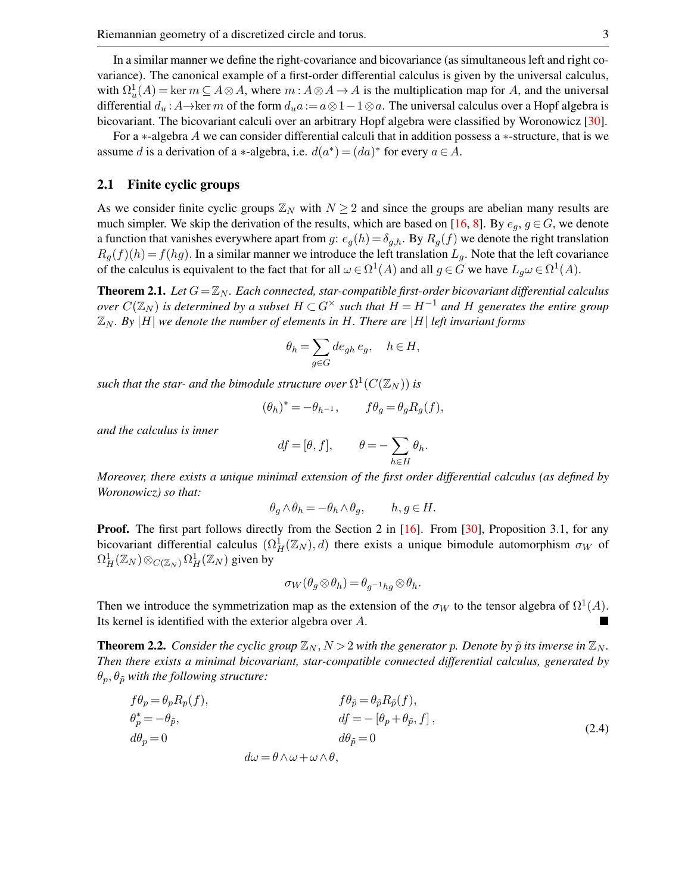In a similar manner we define the right-covariance and bicovariance (as simultaneous left and right covariance). The canonical example of a first-order differential calculus is given by the universal calculus, with  $\Omega_u^1(A) = \ker m \subseteq A \otimes A$ , where  $m : A \otimes A \to A$  is the multiplication map for A, and the universal differential  $d_u$ : A→ker m of the form  $d_u a := a \otimes 1 - 1 \otimes a$ . The universal calculus over a Hopf algebra is bicovariant. The bicovariant calculi over an arbitrary Hopf algebra were classified by Woronowicz [\[30\]](#page-28-6).

For a ∗-algebra A we can consider differential calculi that in addition possess a ∗-structure, that is we assume d is a derivation of a \*-algebra, i.e.  $d(a^*) = (da)^*$  for every  $a \in A$ .

#### 2.1 Finite cyclic groups

As we consider finite cyclic groups  $\mathbb{Z}_N$  with  $N \geq 2$  and since the groups are abelian many results are much simpler. We skip the derivation of the results, which are based on [\[16,](#page-27-1) [8\]](#page-27-2). By  $e_a$ ,  $g \in G$ , we denote a function that vanishes everywhere apart from g:  $e_g(h) = \delta_{g,h}$ . By  $R_g(f)$  we denote the right translation  $R_q(f)(h) = f(hg)$ . In a similar manner we introduce the left translation  $L_q$ . Note that the left covariance of the calculus is equivalent to the fact that for all  $\omega \in \Omega^1(A)$  and all  $g \in G$  we have  $L_g \omega \in \Omega^1(A)$ .

**Theorem 2.1.** Let  $G = \mathbb{Z}_N$ . Each connected, star-compatible first-order bicovariant differential calculus *over*  $C(\mathbb{Z}_N)$  *is determined by a subset*  $H \subset G^\times$  *such that*  $H = H^{-1}$  *and*  $H$  *generates the entire group*  $\mathbb{Z}_N$ . By  $|H|$  we denote the number of elements in H. There are  $|H|$  *left invariant forms* 

$$
\theta_h = \sum_{g \in G} d e_{gh} \, e_g, \quad h \in H,
$$

such that the star- and the bimodule structure over  $\Omega^1(C({\mathbb Z}_N))$  is

$$
(\theta_h)^* = -\theta_{h^{-1}}, \qquad f\theta_g = \theta_g R_g(f),
$$

*and the calculus is inner*

$$
df = [\theta, f], \qquad \theta = -\sum_{h \in H} \theta_h.
$$

*Moreover, there exists a unique minimal extension of the first order differential calculus (as defined by Woronowicz) so that:*

$$
\theta_g \wedge \theta_h = -\theta_h \wedge \theta_g, \qquad h, g \in H.
$$

**Proof.** The first part follows directly from the Section 2 in [\[16\]](#page-27-1). From [\[30\]](#page-28-6), Proposition 3.1, for any bicovariant differential calculus  $(\Omega_H^1(\mathbb{Z}_N), d)$  there exists a unique bimodule automorphism  $\sigma_W$  of  $\Omega^1_H({\mathbb Z}_N) \otimes_{C({\mathbb Z}_N)} \Omega^1_H({\mathbb Z}_N)$  given by

$$
\sigma_W(\theta_g \otimes \theta_h) = \theta_{g^{-1}hg} \otimes \theta_h.
$$

Then we introduce the symmetrization map as the extension of the  $\sigma_W$  to the tensor algebra of  $\Omega^1(A)$ . Its kernel is identified with the exterior algebra over A.

<span id="page-2-0"></span>**Theorem 2.2.** *Consider the cyclic group*  $\mathbb{Z}_N$ ,  $N > 2$  *with the generator* p. Denote by  $\tilde{p}$  *its inverse in*  $\mathbb{Z}_N$ *. Then there exists a minimal bicovariant, star-compatible connected differential calculus, generated by*  $\theta_p, \theta_{\tilde{p}}$  with the following structure:

$$
f\theta_p = \theta_p R_p(f),
$$
  
\n
$$
\theta_p^* = -\theta_p,
$$
  
\n
$$
d\theta_p = 0
$$
  
\n
$$
d\omega = \theta \wedge \omega + \omega \wedge \theta,
$$
  
\n
$$
f\theta_{\tilde{p}} = \theta_{\tilde{p}} R_{\tilde{p}}(f),
$$
  
\n
$$
df = -[\theta_p + \theta_{\tilde{p}}, f],
$$
  
\n
$$
d\theta_{\tilde{p}} = 0
$$
  
\n(2.4)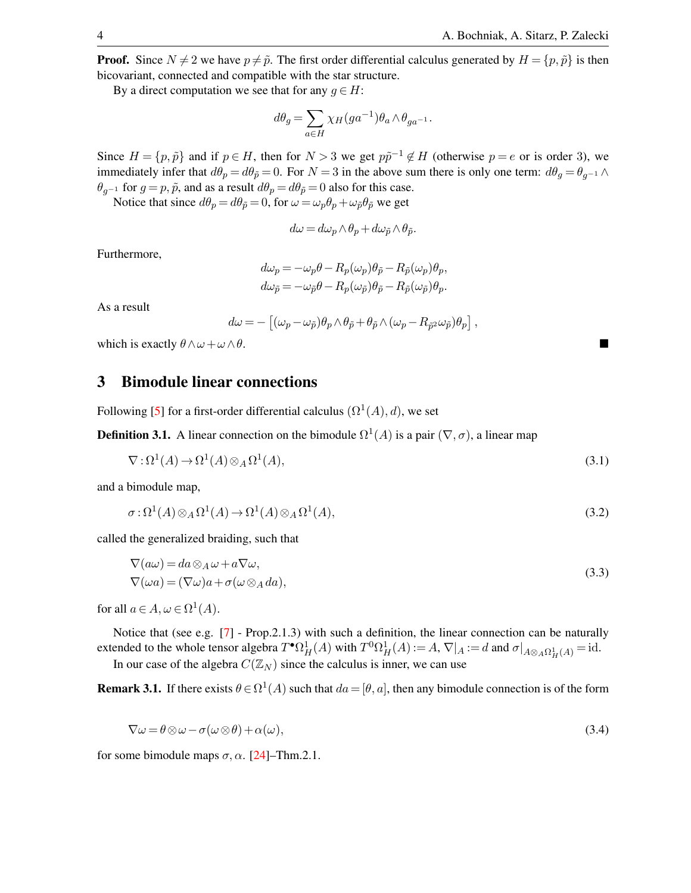,

**Proof.** Since  $N \neq 2$  we have  $p \neq \tilde{p}$ . The first order differential calculus generated by  $H = \{p, \tilde{p}\}\$ is then bicovariant, connected and compatible with the star structure.

By a direct computation we see that for any  $g \in H$ :

$$
d\theta_g = \sum_{a \in H} \chi_H(ga^{-1}) \theta_a \wedge \theta_{ga^{-1}}.
$$

Since  $H = \{p, \tilde{p}\}\$ and if  $p \in H$ , then for  $N > 3$  we get  $p\tilde{p}^{-1} \notin H$  (otherwise  $p = e$  or is order 3), we immediately infer that  $d\theta_p = d\theta_{\tilde{p}} = 0$ . For  $N = 3$  in the above sum there is only one term:  $d\theta_g = \theta_{g^{-1}} \wedge d\theta_g$  $\theta_{q^{-1}}$  for  $g = p, \tilde{p}$ , and as a result  $d\theta_p = d\theta_{\tilde{p}} = 0$  also for this case.

Notice that since  $d\theta_p = d\theta_{\tilde{p}} = 0$ , for  $\omega = \omega_p \theta_p + \omega_{\tilde{p}} \theta_{\tilde{p}}$  we get

$$
d\omega = d\omega_p \wedge \theta_p + d\omega_{\tilde{p}} \wedge \theta_{\tilde{p}}.
$$

Furthermore,

$$
d\omega_p = -\omega_p \theta - R_p(\omega_p)\theta_{\tilde{p}} - R_{\tilde{p}}(\omega_p)\theta_p,
$$
  
\n
$$
d\omega_{\tilde{p}} = -\omega_{\tilde{p}} \theta - R_p(\omega_{\tilde{p}})\theta_{\tilde{p}} - R_{\tilde{p}}(\omega_{\tilde{p}})\theta_p.
$$

As a result

$$
d\omega = - [(\omega_p - \omega_{\tilde{p}})\theta_p \wedge \theta_{\tilde{p}} + \theta_{\tilde{p}} \wedge (\omega_p - R_{\tilde{p}^2}\omega_{\tilde{p}})\theta_p]
$$

which is exactly  $\theta \wedge \omega + \omega \wedge \theta$ .

### 3 Bimodule linear connections

Following [\[5\]](#page-27-11) for a first-order differential calculus  $(\Omega^1(A), d)$ , we set

**Definition 3.1.** A linear connection on the bimodule  $\Omega^1(A)$  is a pair  $(\nabla, \sigma)$ , a linear map

$$
\nabla \colon \Omega^1(A) \to \Omega^1(A) \otimes_A \Omega^1(A),\tag{3.1}
$$

and a bimodule map,

$$
\sigma : \Omega^1(A) \otimes_A \Omega^1(A) \to \Omega^1(A) \otimes_A \Omega^1(A), \tag{3.2}
$$

called the generalized braiding, such that

$$
\nabla(a\omega) = da \otimes_A \omega + a\nabla\omega,
$$
  
\n
$$
\nabla(\omega a) = (\nabla\omega)a + \sigma(\omega \otimes_A da),
$$
\n(3.3)

for all  $a \in A$ ,  $\omega \in \Omega^1(A)$ .

Notice that (see e.g. [\[7\]](#page-27-10) - Prop.2.1.3) with such a definition, the linear connection can be naturally extended to the whole tensor algebra  $T^{\bullet} \Omega^1_H(A)$  with  $T^0 \Omega^1_H(A) := A$ ,  $\nabla|_A := d$  and  $\sigma|_{A \otimes_A \Omega^1_H(A)} = id$ . In our case of the algebra  $C(\mathbb{Z}_N)$  since the calculus is inner, we can use

<span id="page-3-0"></span>**Remark 3.1.** If there exists  $\theta \in \Omega^1(A)$  such that  $da = [\theta, a]$ , then any bimodule connection is of the form

$$
\nabla \omega = \theta \otimes \omega - \sigma(\omega \otimes \theta) + \alpha(\omega),\tag{3.4}
$$

for some bimodule maps  $\sigma$ ,  $\alpha$ . [\[24\]](#page-28-7)–Thm.2.1.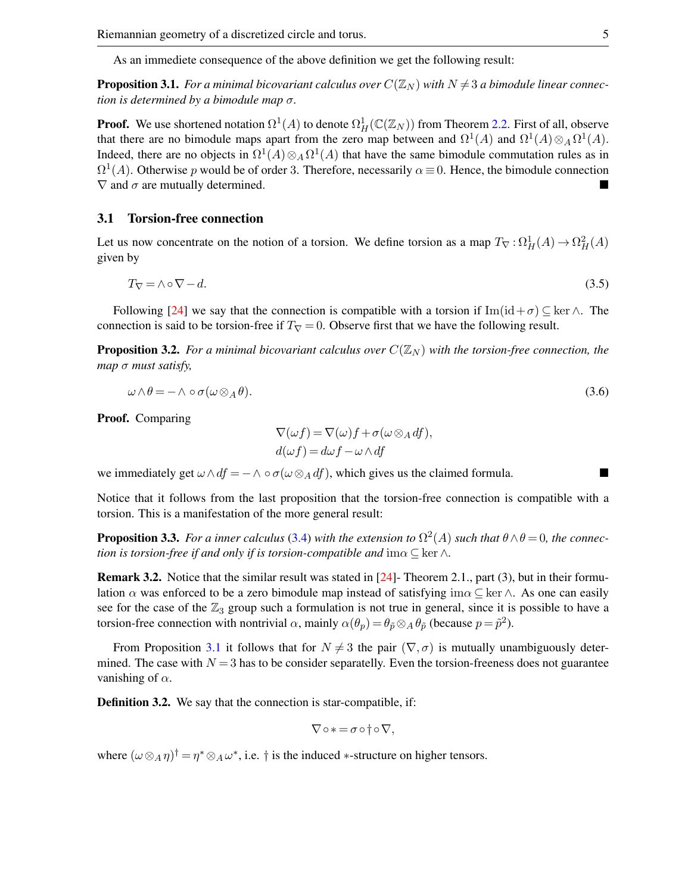As an immediete consequence of the above definition we get the following result:

<span id="page-4-0"></span>**Proposition 3.1.** *For a minimal bicovariant calculus over*  $C(\mathbb{Z}_N)$  *with*  $N \neq 3$  *a bimodule linear connection is determined by a bimodule map* σ*.*

**Proof.** We use shortened notation  $\Omega^1(A)$  to denote  $\Omega^1_H(\mathbb{C}(\mathbb{Z}_N))$  from Theorem [2.2.](#page-2-0) First of all, observe that there are no bimodule maps apart from the zero map between and  $\Omega^1(A)$  and  $\Omega^1(A) \otimes_A \Omega^1(A)$ . Indeed, there are no objects in  $\Omega^1(A) \otimes_A \Omega^1(A)$  that have the same bimodule commutation rules as in  $\Omega^1(A)$ . Otherwise p would be of order 3. Therefore, necessarily  $\alpha \equiv 0$ . Hence, the bimodule connection  $\nabla$  and  $\sigma$  are mutually determined.

### 3.1 Torsion-free connection

Let us now concentrate on the notion of a torsion. We define torsion as a map  $T_{\nabla} : \Omega_H^1(A) \to \Omega_H^2(A)$ given by

$$
T_{\nabla} = \wedge \circ \nabla - d. \tag{3.5}
$$

Following [\[24\]](#page-28-7) we say that the connection is compatible with a torsion if Im(id+ $\sigma$ ) ⊆ ker  $\wedge$ . The connection is said to be torsion-free if  $T_{\nabla} = 0$ . Observe first that we have the following result.

**Proposition 3.2.** *For a minimal bicovariant calculus over*  $C(\mathbb{Z}_N)$  *with the torsion-free connection, the map* σ *must satisfy,*

$$
\omega \wedge \theta = - \wedge \circ \sigma(\omega \otimes_A \theta). \tag{3.6}
$$

Proof. Comparing

<span id="page-4-1"></span>
$$
\nabla(\omega f) = \nabla(\omega)f + \sigma(\omega \otimes_A df),
$$
  

$$
d(\omega f) = d\omega f - \omega \wedge df
$$

we immediately get  $\omega \wedge df = - \wedge \circ \sigma(\omega \otimes_A df)$ , which gives us the claimed formula.

Notice that it follows from the last proposition that the torsion-free connection is compatible with a torsion. This is a manifestation of the more general result:

**Proposition 3.3.** For a inner calculus [\(3.4\)](#page-3-0) with the extension to  $\Omega^2(A)$  such that  $\theta \wedge \theta = 0$ , the connec*tion is torsion-free if and only if is torsion-compatible and*  $\text{im}\alpha \subseteq \text{ker }\Delta$ *.* 

Remark 3.2. Notice that the similar result was stated in [\[24\]](#page-28-7)- Theorem 2.1., part (3), but in their formulation  $\alpha$  was enforced to be a zero bimodule map instead of satisfying im $\alpha \subseteq \text{ker } \wedge$ . As one can easily see for the case of the  $\mathbb{Z}_3$  group such a formulation is not true in general, since it is possible to have a torsion-free connection with nontrivial  $\alpha$ , mainly  $\alpha(\theta_p) = \theta_{\tilde{p}} \otimes_A \theta_{\tilde{p}}$  (because  $p = \tilde{p}^2$ ).

From Proposition [3.1](#page-4-0) it follows that for  $N \neq 3$  the pair  $(\nabla, \sigma)$  is mutually unambiguously determined. The case with  $N = 3$  has to be consider separatelly. Even the torsion-freeness does not guarantee vanishing of  $\alpha$ .

Definition 3.2. We say that the connection is star-compatible, if:

$$
\nabla \circ * = \sigma \circ \dagger \circ \nabla,
$$

<span id="page-4-2"></span>where  $(\omega \otimes_A \eta)^{\dagger} = \eta^* \otimes_A \omega^*$ , i.e.  $\dagger$  is the induced \*-structure on higher tensors.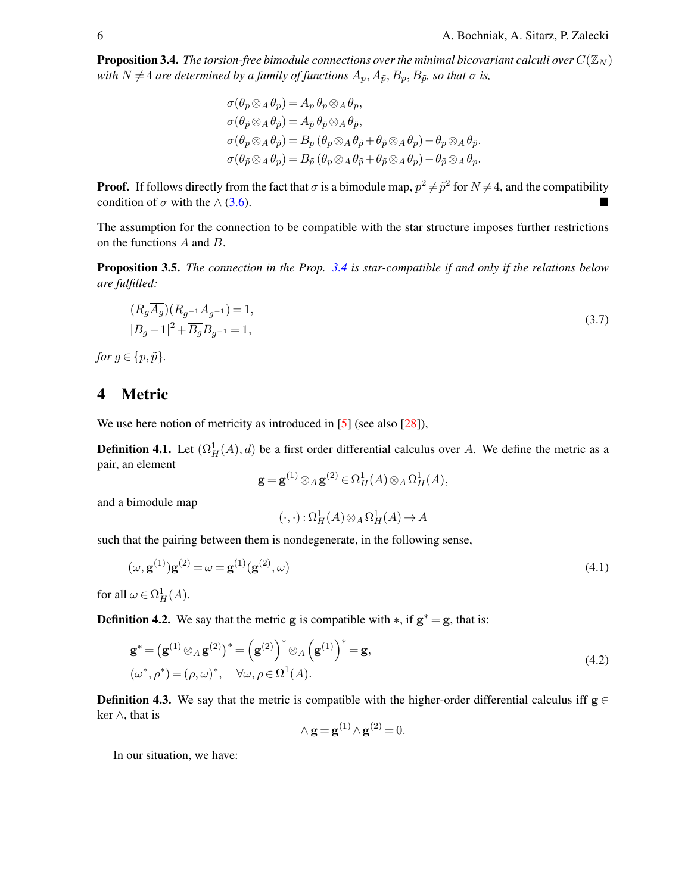**Proposition 3.4.** *The torsion-free bimodule connections over the minimal bicovariant calculi over*  $C(\mathbb{Z}_N)$ *with*  $N \neq 4$  *are determined by a family of functions*  $A_p$ ,  $A_{\tilde{p}}$ ,  $B_p$ ,  $B_{\tilde{p}}$ *, so that*  $\sigma$  *is,* 

$$
\sigma(\theta_p \otimes_A \theta_p) = A_p \theta_p \otimes_A \theta_p,
$$
  
\n
$$
\sigma(\theta_{\tilde{p}} \otimes_A \theta_{\tilde{p}}) = A_{\tilde{p}} \theta_{\tilde{p}} \otimes_A \theta_{\tilde{p}},
$$
  
\n
$$
\sigma(\theta_p \otimes_A \theta_{\tilde{p}}) = B_p (\theta_p \otimes_A \theta_{\tilde{p}} + \theta_{\tilde{p}} \otimes_A \theta_p) - \theta_p \otimes_A \theta_{\tilde{p}}.
$$
  
\n
$$
\sigma(\theta_{\tilde{p}} \otimes_A \theta_p) = B_{\tilde{p}} (\theta_p \otimes_A \theta_{\tilde{p}} + \theta_{\tilde{p}} \otimes_A \theta_p) - \theta_{\tilde{p}} \otimes_A \theta_p.
$$

**Proof.** If follows directly from the fact that  $\sigma$  is a bimodule map,  $p^2 \neq \tilde{p}^2$  for  $N \neq 4$ , and the compatibility condition of  $\sigma$  with the  $\wedge$  [\(3.6\)](#page-4-1).

The assumption for the connection to be compatible with the star structure imposes further restrictions on the functions A and B.

Proposition 3.5. *The connection in the Prop. [3.4](#page-4-2) is star-compatible if and only if the relations below are fulfilled:*

<span id="page-5-1"></span>
$$
(R_g \overline{A_g})(R_{g^{-1}}A_{g^{-1}}) = 1,
$$
  
\n
$$
|B_g - 1|^2 + \overline{B_g}B_{g^{-1}} = 1,
$$
\n(3.7)

*for*  $q \in \{p, \tilde{p}\}.$ 

### 4 Metric

We use here notion of metricity as introduced in [\[5\]](#page-27-11) (see also [\[28\]](#page-28-3)),

**Definition 4.1.** Let  $(\Omega^1_H(A), d)$  be a first order differential calculus over A. We define the metric as a pair, an element

$$
\mathbf{g} = \mathbf{g}^{(1)} \otimes_A \mathbf{g}^{(2)} \in \Omega^1_H(A) \otimes_A \Omega^1_H(A),
$$

and a bimodule map

$$
(\cdot, \cdot) : \Omega^1_H(A) \otimes_A \Omega^1_H(A) \to A
$$

such that the pairing between them is nondegenerate, in the following sense,

$$
(\omega, \mathbf{g}^{(1)})\mathbf{g}^{(2)} = \omega = \mathbf{g}^{(1)}(\mathbf{g}^{(2)}, \omega)
$$
\n(4.1)

for all  $\omega \in \Omega^1_H(A)$ .

**Definition 4.2.** We say that the metric g is compatible with  $\ast$ , if  $g^* = g$ , that is:

$$
\mathbf{g}^* = (\mathbf{g}^{(1)} \otimes_A \mathbf{g}^{(2)})^* = (\mathbf{g}^{(2)})^* \otimes_A (\mathbf{g}^{(1)})^* = \mathbf{g},
$$
  
\n
$$
(\omega^*, \rho^*) = (\rho, \omega)^*, \quad \forall \omega, \rho \in \Omega^1(A).
$$
\n(4.2)

**Definition 4.3.** We say that the metric is compatible with the higher-order differential calculus iff  $g \in$ ker ∧, that is

$$
\wedge \mathbf{g} = \mathbf{g}^{(1)} \wedge \mathbf{g}^{(2)} = 0.
$$

<span id="page-5-0"></span>In our situation, we have: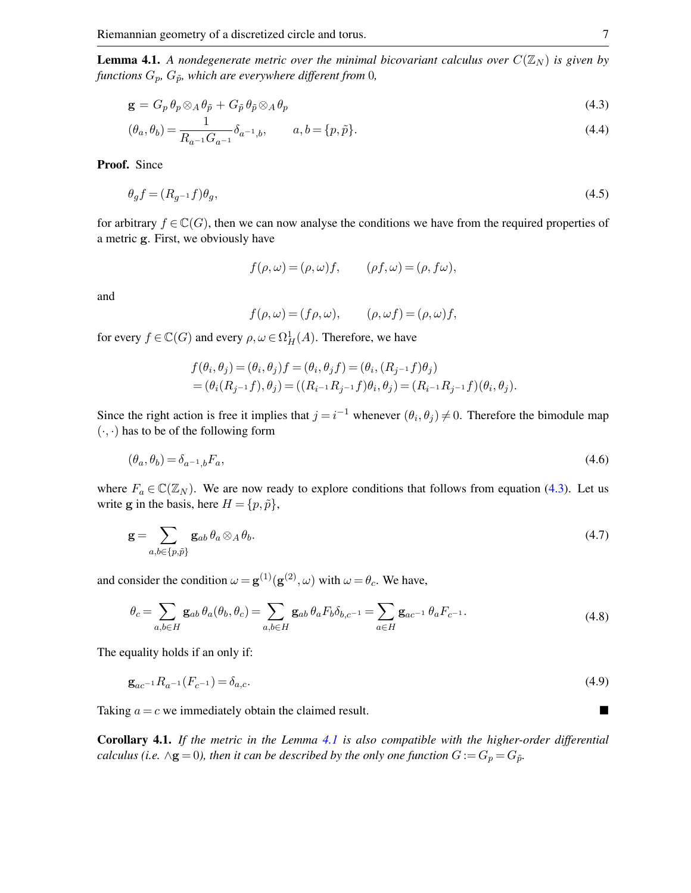**Lemma 4.1.** A nondegenerate metric over the minimal bicovariant calculus over  $C(\mathbb{Z}_N)$  is given by *functions*  $G_p$ *,*  $G_{\tilde{p}}$ *, which are everywhere different from* 0*,* 

$$
\mathbf{g} = G_p \,\theta_p \otimes_A \theta_{\tilde{p}} + G_{\tilde{p}} \,\theta_{\tilde{p}} \otimes_A \theta_p \tag{4.3}
$$

$$
(\theta_a, \theta_b) = \frac{1}{R_{a^{-1}} G_{a^{-1}}} \delta_{a^{-1},b}, \qquad a, b = \{p, \tilde{p}\}.
$$
\n(4.4)

Proof. Since

$$
\theta_g f = (R_{g^{-1}} f)\theta_g,\tag{4.5}
$$

for arbitrary  $f \in \mathbb{C}(G)$ , then we can now analyse the conditions we have from the required properties of a metric g. First, we obviously have

<span id="page-6-0"></span>
$$
f(\rho, \omega) = (\rho, \omega)f, \qquad (\rho f, \omega) = (\rho, f\omega),
$$

and

$$
f(\rho, \omega) = (f\rho, \omega), \qquad (\rho, \omega f) = (\rho, \omega)f,
$$

for every  $f \in \mathbb{C}(G)$  and every  $\rho, \omega \in \Omega^1_H(A)$ . Therefore, we have

$$
f(\theta_i, \theta_j) = (\theta_i, \theta_j) f = (\theta_i, \theta_j f) = (\theta_i, (R_{j-1}f)\theta_j)
$$
  
=  $(\theta_i(R_{j-1}f), \theta_j) = ((R_{i-1}R_{j-1}f)\theta_i, \theta_j) = (R_{i-1}R_{j-1}f)(\theta_i, \theta_j).$ 

Since the right action is free it implies that  $j = i^{-1}$  whenever  $(\theta_i, \theta_j) \neq 0$ . Therefore the bimodule map  $(\cdot, \cdot)$  has to be of the following form

$$
(\theta_a, \theta_b) = \delta_{a^{-1},b} F_a,\tag{4.6}
$$

where  $F_a \in \mathbb{C}(\mathbb{Z}_N)$ . We are now ready to explore conditions that follows from equation [\(4.3\)](#page-6-0). Let us write g in the basis, here  $H = \{p, \tilde{p}\}\,$ ,

$$
\mathbf{g} = \sum_{a,b \in \{p,\tilde{p}\}} \mathbf{g}_{ab} \,\theta_a \otimes_A \theta_b. \tag{4.7}
$$

and consider the condition  $\omega = \mathbf{g}^{(1)}(\mathbf{g}^{(2)}, \omega)$  with  $\omega = \theta_c$ . We have,

$$
\theta_c = \sum_{a,b \in H} \mathbf{g}_{ab} \, \theta_a(\theta_b, \theta_c) = \sum_{a,b \in H} \mathbf{g}_{ab} \, \theta_a F_b \delta_{b,c^{-1}} = \sum_{a \in H} \mathbf{g}_{ac^{-1}} \, \theta_a F_{c^{-1}}.
$$
\n(4.8)

The equality holds if an only if:

$$
\mathbf{g}_{ac^{-1}}R_{a^{-1}}(F_{c^{-1}}) = \delta_{a,c}.\tag{4.9}
$$

Taking  $a = c$  we immediately obtain the claimed result.

Corollary 4.1. *If the metric in the Lemma [4.1](#page-5-0) is also compatible with the higher-order differential calculus (i.e.*  $\wedge$ **g** = 0), then it can be described by the only one function  $G := G_p = G_{\tilde{p}}$ .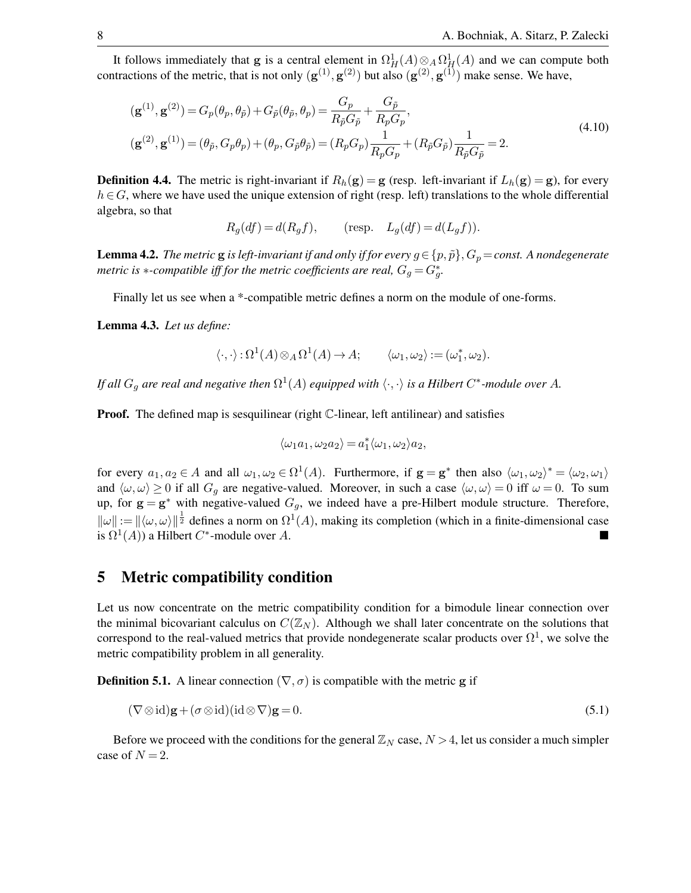It follows immediately that g is a central element in  $\Omega^1_H(A) \otimes_A \Omega^1_H(A)$  and we can compute both contractions of the metric, that is not only  $(g^{(1)}, g^{(2)})$  but also  $(g^{(2)}, g^{(1)})$  make sense. We have,

$$
(\mathbf{g}^{(1)}, \mathbf{g}^{(2)}) = G_p(\theta_p, \theta_{\tilde{p}}) + G_{\tilde{p}}(\theta_{\tilde{p}}, \theta_p) = \frac{G_p}{R_{\tilde{p}}G_{\tilde{p}}} + \frac{G_{\tilde{p}}}{R_pG_p},
$$
  
\n
$$
(\mathbf{g}^{(2)}, \mathbf{g}^{(1)}) = (\theta_{\tilde{p}}, G_p\theta_p) + (\theta_p, G_{\tilde{p}}\theta_{\tilde{p}}) = (R_pG_p)\frac{1}{R_pG_p} + (R_{\tilde{p}}G_{\tilde{p}})\frac{1}{R_{\tilde{p}}G_{\tilde{p}}} = 2.
$$
\n(4.10)

**Definition 4.4.** The metric is right-invariant if  $R_h(\mathbf{g}) = \mathbf{g}$  (resp. left-invariant if  $L_h(\mathbf{g}) = \mathbf{g}$ ), for every  $h \in G$ , where we have used the unique extension of right (resp. left) translations to the whole differential algebra, so that

<span id="page-7-0"></span>
$$
R_g(df) = d(R_g f), \qquad \text{(resp.} \quad L_g(df) = d(L_g f)).
$$

**Lemma 4.2.** *The metric* **g** *is left-invariant if and only if for every*  $g \in \{p, \tilde{p}\}, G_p = const.$  A nondegenerate *metric is*  $*$ *-compatible iff for the metric coefficients are real,*  $G_g = G_g^*$ *.* 

Finally let us see when a \*-compatible metric defines a norm on the module of one-forms.

<span id="page-7-1"></span>Lemma 4.3. *Let us define:*

$$
\langle \cdot, \cdot \rangle : \Omega^1(A) \otimes_A \Omega^1(A) \to A; \qquad \langle \omega_1, \omega_2 \rangle := (\omega_1^*, \omega_2).
$$

*If all*  $G_g$  are real and negative then  $\Omega^1(A)$  equipped with  $\langle \cdot, \cdot \rangle$  is a Hilbert  $C^*$ -module over A.

**Proof.** The defined map is sesquilinear (right  $\mathbb{C}$ -linear, left antilinear) and satisfies

$$
\langle \omega_1 a_1, \omega_2 a_2 \rangle = a_1^* \langle \omega_1, \omega_2 \rangle a_2,
$$

for every  $a_1, a_2 \in A$  and all  $\omega_1, \omega_2 \in \Omega^1(A)$ . Furthermore, if  $g = g^*$  then also  $\langle \omega_1, \omega_2 \rangle^* = \langle \omega_2, \omega_1 \rangle$ and  $\langle \omega, \omega \rangle \ge 0$  if all  $G_g$  are negative-valued. Moreover, in such a case  $\langle \omega, \omega \rangle = 0$  iff  $\omega = 0$ . To sum up, for  $g = g^*$  with negative-valued  $G_g$ , we indeed have a pre-Hilbert module structure. Therefore,  $\|\omega\| := \|\langle \omega, \omega \rangle\|^{\frac{1}{2}}$  defines a norm on  $\Omega^1(A)$ , making its completion (which in a finite-dimensional case is  $\Omega^1(A)$ ) a Hilbert C<sup>\*</sup>-module over A.

### 5 Metric compatibility condition

Let us now concentrate on the metric compatibility condition for a bimodule linear connection over the minimal bicovariant calculus on  $C(\mathbb{Z}_N)$ . Although we shall later concentrate on the solutions that correspond to the real-valued metrics that provide nondegenerate scalar products over  $\Omega^1$ , we solve the metric compatibility problem in all generality.

**Definition 5.1.** A linear connection ( $\nabla$ ,  $\sigma$ ) is compatible with the metric g if

$$
(\nabla \otimes \mathrm{id})\mathbf{g} + (\sigma \otimes \mathrm{id})(\mathrm{id} \otimes \nabla)\mathbf{g} = 0. \tag{5.1}
$$

Before we proceed with the conditions for the general  $\mathbb{Z}_N$  case,  $N > 4$ , let us consider a much simpler case of  $N = 2$ .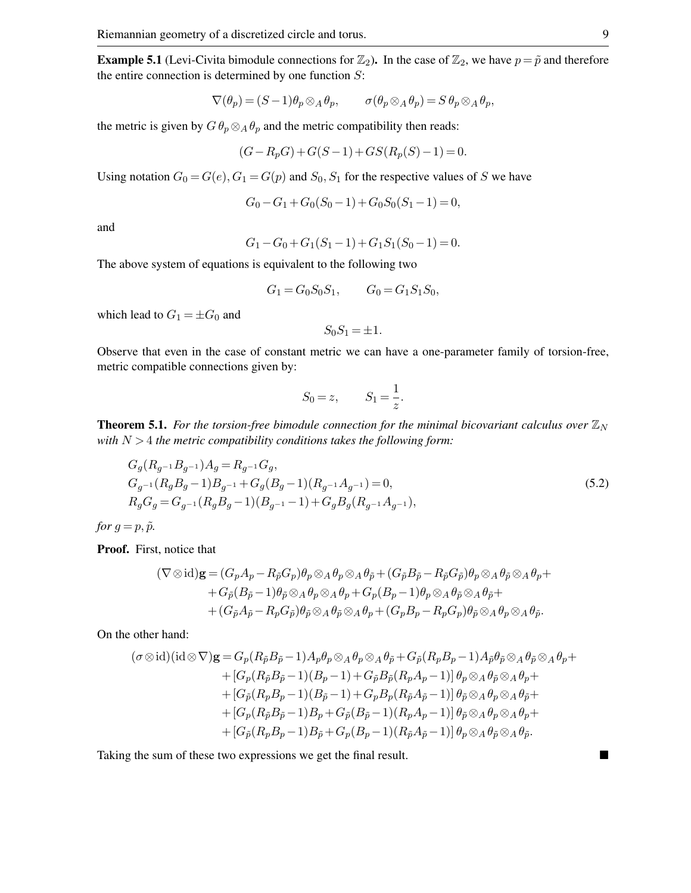**Example 5.1** (Levi-Civita bimodule connections for  $\mathbb{Z}_2$ ). In the case of  $\mathbb{Z}_2$ , we have  $p = \tilde{p}$  and therefore the entire connection is determined by one function  $S$ :

$$
\nabla(\theta_p) = (S-1)\theta_p \otimes_A \theta_p, \qquad \sigma(\theta_p \otimes_A \theta_p) = S \theta_p \otimes_A \theta_p,
$$

the metric is given by  $G \theta_p \otimes_A \theta_p$  and the metric compatibility then reads:

$$
(G - R_p G) + G(S - 1) + GS(R_p(S) - 1) = 0.
$$

Using notation  $G_0 = G(e), G_1 = G(p)$  and  $S_0, S_1$  for the respective values of S we have

$$
G_0 - G_1 + G_0(S_0 - 1) + G_0S_0(S_1 - 1) = 0,
$$

and

$$
G_1 - G_0 + G_1(S_1 - 1) + G_1S_1(S_0 - 1) = 0.
$$

The above system of equations is equivalent to the following two

$$
G_1 = G_0 S_0 S_1, \qquad G_0 = G_1 S_1 S_0,
$$

which lead to  $G_1 = \pm G_0$  and

$$
S_0 S_1 = \pm 1.
$$

Observe that even in the case of constant metric we can have a one-parameter family of torsion-free, metric compatible connections given by:

<span id="page-8-0"></span>
$$
S_0 = z, \qquad S_1 = \frac{1}{z}.
$$

**Theorem 5.1.** For the torsion-free bimodule connection for the minimal bicovariant calculus over  $\mathbb{Z}_N$ *with* N > 4 *the metric compatibility conditions takes the following form:*

$$
G_g(R_g - 1B_g - 1)A_g = R_{g-1}G_g,
$$
  
\n
$$
G_{g-1}(R_gB_g - 1)B_{g-1} + G_g(B_g - 1)(R_{g-1}A_{g-1}) = 0,
$$
  
\n
$$
R_gG_g = G_{g-1}(R_gB_g - 1)(B_{g-1} - 1) + G_gB_g(R_{g-1}A_{g-1}),
$$
\n(5.2)

*for*  $g = p, \tilde{p}$ *.* 

Proof. First, notice that

$$
(\nabla \otimes id)\mathbf{g} = (G_p A_p - R_{\tilde{p}} G_p)\theta_p \otimes_A \theta_p \otimes_A \theta_{\tilde{p}} + (G_{\tilde{p}} B_{\tilde{p}} - R_{\tilde{p}} G_{\tilde{p}})\theta_p \otimes_A \theta_{\tilde{p}} ++ G_{\tilde{p}} (B_{\tilde{p}} - 1)\theta_{\tilde{p}} \otimes_A \theta_p \otimes_A \theta_p + G_p (B_p - 1)\theta_p \otimes_A \theta_{\tilde{p}} \otimes_A \theta_{\tilde{p}} ++ (G_{\tilde{p}} A_{\tilde{p}} - R_p G_{\tilde{p}})\theta_{\tilde{p}} \otimes_A \theta_{\tilde{p}} \otimes_A \theta_p + (G_p B_p - R_p G_p)\theta_{\tilde{p}} \otimes_A \theta_p \otimes_A \theta_{\tilde{p}}.
$$

On the other hand:

$$
(\sigma \otimes id)(id \otimes \nabla) \mathbf{g} = G_p (R_{\tilde{p}} B_{\tilde{p}} - 1) A_p \theta_p \otimes_A \theta_p \otimes_A \theta_{\tilde{p}} + G_{\tilde{p}} (R_p B_p - 1) A_{\tilde{p}} \theta_{\tilde{p}} \otimes_A \theta_{\tilde{p}} \otimes_A \theta_p +
$$
  
+ 
$$
[G_p (R_{\tilde{p}} B_{\tilde{p}} - 1) (B_p - 1) + G_{\tilde{p}} B_{\tilde{p}} (R_p A_p - 1)] \theta_p \otimes_A \theta_{\tilde{p}} \otimes_A \theta_p +
$$
  
+ 
$$
[G_{\tilde{p}} (R_p B_p - 1) (B_{\tilde{p}} - 1) + G_p B_p (R_{\tilde{p}} A_{\tilde{p}} - 1)] \theta_{\tilde{p}} \otimes_A \theta_p \otimes_A \theta_{\tilde{p}} +
$$
  
+ 
$$
[G_p (R_{\tilde{p}} B_{\tilde{p}} - 1) B_p + G_{\tilde{p}} (B_{\tilde{p}} - 1) (R_p A_p - 1)] \theta_{\tilde{p}} \otimes_A \theta_p \otimes_A \theta_p +
$$
  
+ 
$$
[G_{\tilde{p}} (R_p B_p - 1) B_{\tilde{p}} + G_p (B_p - 1) (R_{\tilde{p}} A_{\tilde{p}} - 1)] \theta_p \otimes_A \theta_{\tilde{p}} \otimes_A \theta_{\tilde{p}}.
$$

Taking the sum of these two expressions we get the final result.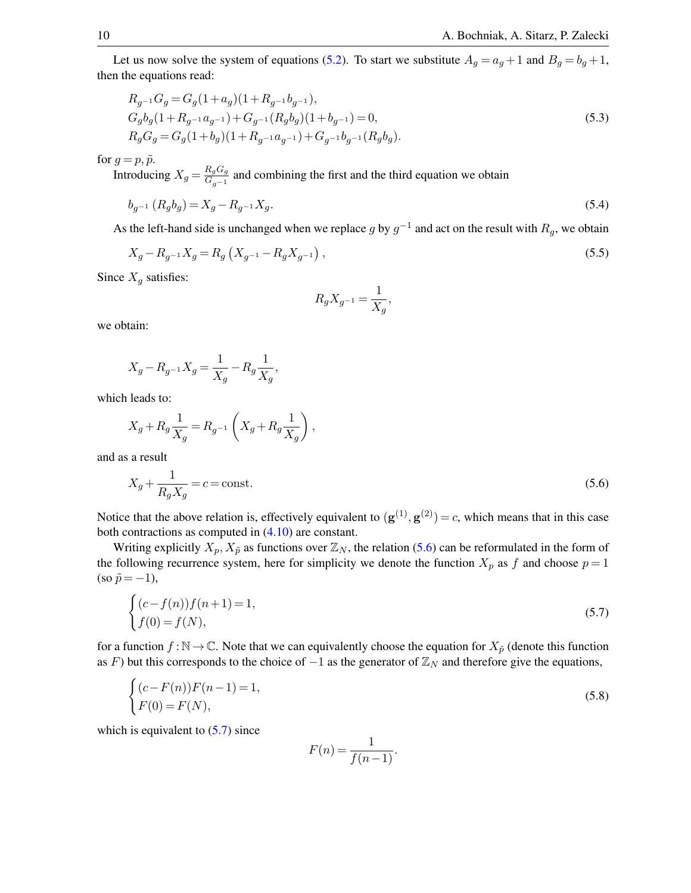Let us now solve the system of equations [\(5.2\)](#page-8-0). To start we substitute  $A_g = a_g + 1$  and  $B_g = b_g + 1$ , then the equations read:

$$
R_{g^{-1}}G_g = G_g(1 + a_g)(1 + R_{g^{-1}}b_{g^{-1}}),
$$
  
\n
$$
G_g b_g(1 + R_{g^{-1}}a_{g^{-1}}) + G_{g^{-1}}(R_g b_g)(1 + b_{g^{-1}}) = 0,
$$
  
\n
$$
R_g G_g = G_g(1 + b_g)(1 + R_{g^{-1}}a_{g^{-1}}) + G_{g^{-1}}b_{g^{-1}}(R_g b_g).
$$
\n(5.3)

for  $g = p, \tilde{p}$ .

Introducing  $X_g = \frac{R_g G_g}{G}$  $\frac{G_{g}G_{g}}{G_{g-1}}$  and combining the first and the third equation we obtain

$$
b_{g^{-1}}(R_g b_g) = X_g - R_{g^{-1}} X_g. \tag{5.4}
$$

As the left-hand side is unchanged when we replace g by  $g^{-1}$  and act on the result with  $R_g$ , we obtain

$$
X_g - R_{g^{-1}} X_g = R_g \left( X_{g^{-1}} - R_g X_{g^{-1}} \right), \tag{5.5}
$$

Since  $X_g$  satisfies:

<span id="page-9-3"></span><span id="page-9-2"></span><span id="page-9-0"></span>
$$
R_g X_{g^{-1}} = \frac{1}{X_g},
$$

we obtain:

$$
X_g-R_{g^{-1}}X_g=\frac{1}{X_g}-R_g\frac{1}{X_g},
$$

which leads to:

$$
X_g + R_g \frac{1}{X_g} = R_{g^{-1}} \left( X_g + R_g \frac{1}{X_g} \right),
$$

and as a result

$$
X_g + \frac{1}{R_g X_g} = c = \text{const.}\tag{5.6}
$$

Notice that the above relation is, effectively equivalent to  $(g^{(1)}, g^{(2)}) = c$ , which means that in this case both contractions as computed in [\(4.10\)](#page-7-0) are constant.

Writing explicitly  $X_p, X_{\tilde{p}}$  as functions over  $\mathbb{Z}_N$ , the relation [\(5.6\)](#page-9-0) can be reformulated in the form of the following recurrence system, here for simplicity we denote the function  $X_p$  as f and choose  $p = 1$  $(\text{so } \tilde{p} = -1),$ 

$$
\begin{cases}\n(c - f(n))f(n+1) = 1, \\
f(0) = f(N),\n\end{cases}
$$
\n(5.7)

for a function  $f : \mathbb{N} \to \mathbb{C}$ . Note that we can equivalently choose the equation for  $X_{\tilde{p}}$  (denote this function as F) but this corresponds to the choice of  $-1$  as the generator of  $\mathbb{Z}_N$  and therefore give the equations,

$$
\begin{cases}\n(c - F(n))F(n-1) = 1, \\
F(0) = F(N),\n\end{cases}
$$
\n(5.8)

which is equivalent to  $(5.7)$  since

<span id="page-9-1"></span>
$$
F(n) = \frac{1}{f(n-1)}.
$$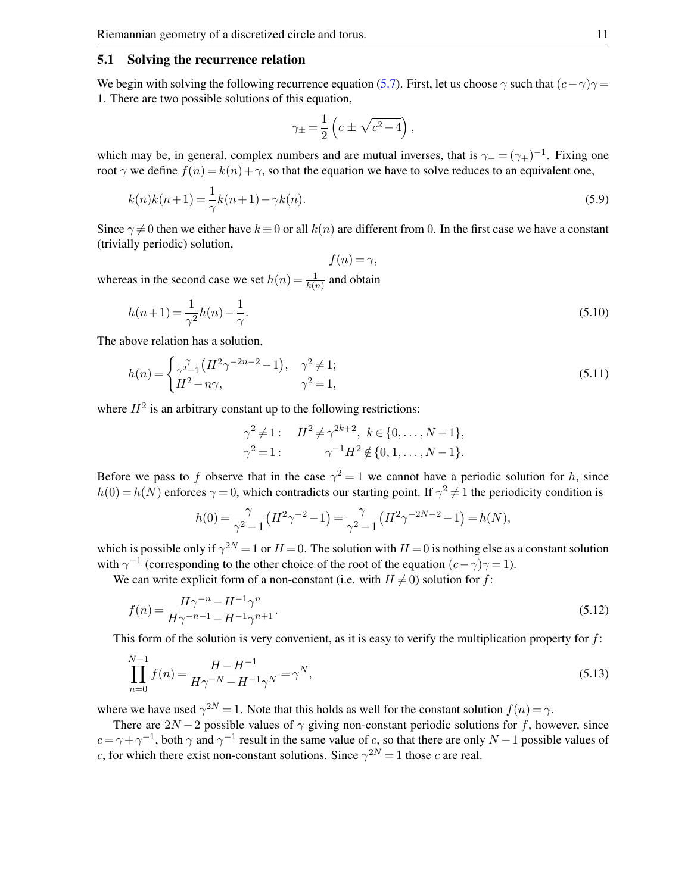#### 5.1 Solving the recurrence relation

We begin with solving the following recurrence equation [\(5.7\)](#page-9-1). First, let us choose  $\gamma$  such that  $(c-\gamma)\gamma =$ 1. There are two possible solutions of this equation,

$$
\gamma_{\pm}=\frac{1}{2}\left(c\pm\sqrt{c^2-4}\right),
$$

which may be, in general, complex numbers and are mutual inverses, that is  $\gamma = (\gamma_+)^{-1}$ . Fixing one root  $\gamma$  we define  $f(n) = k(n) + \gamma$ , so that the equation we have to solve reduces to an equivalent one,

$$
k(n)k(n+1) = \frac{1}{\gamma}k(n+1) - \gamma k(n).
$$
\n(5.9)

Since  $\gamma \neq 0$  then we either have  $k \equiv 0$  or all  $k(n)$  are different from 0. In the first case we have a constant (trivially periodic) solution,

 $f(n) = \gamma$ ,

whereas in the second case we set  $h(n) = \frac{1}{k(n)}$  and obtain

$$
h(n+1) = \frac{1}{\gamma^2}h(n) - \frac{1}{\gamma}.
$$
\n(5.10)

The above relation has a solution,

$$
h(n) = \begin{cases} \frac{\gamma}{\gamma^2 - 1} \left( H^2 \gamma^{-2n - 2} - 1 \right), & \gamma^2 \neq 1; \\ H^2 - n\gamma, & \gamma^2 = 1, \end{cases} \tag{5.11}
$$

where  $H<sup>2</sup>$  is an arbitrary constant up to the following restrictions:

<span id="page-10-0"></span>
$$
\gamma^{2} \neq 1: \quad H^{2} \neq \gamma^{2k+2}, \ k \in \{0, \ldots, N-1\},
$$
  

$$
\gamma^{2} = 1: \qquad \gamma^{-1} H^{2} \notin \{0, 1, \ldots, N-1\}.
$$

Before we pass to f observe that in the case  $\gamma^2 = 1$  we cannot have a periodic solution for h, since  $h(0) = h(N)$  enforces  $\gamma = 0$ , which contradicts our starting point. If  $\gamma^2 \neq 1$  the periodicity condition is

$$
h(0) = \frac{\gamma}{\gamma^2 - 1} \left( H^2 \gamma^{-2} - 1 \right) = \frac{\gamma}{\gamma^2 - 1} \left( H^2 \gamma^{-2N - 2} - 1 \right) = h(N),
$$

which is possible only if  $\gamma^{2N} = 1$  or  $H = 0$ . The solution with  $H = 0$  is nothing else as a constant solution with  $\gamma^{-1}$  (corresponding to the other choice of the root of the equation  $(c-\gamma)\gamma = 1$ ).

We can write explicit form of a non-constant (i.e. with  $H \neq 0$ ) solution for f:

$$
f(n) = \frac{H\gamma^{-n} - H^{-1}\gamma^n}{H\gamma^{-n-1} - H^{-1}\gamma^{n+1}}.
$$
\n(5.12)

This form of the solution is very convenient, as it is easy to verify the multiplication property for  $f$ :

$$
\prod_{n=0}^{N-1} f(n) = \frac{H - H^{-1}}{H\gamma^{-N} - H^{-1}\gamma^N} = \gamma^N,
$$
\n(5.13)

where we have used  $\gamma^{2N} = 1$ . Note that this holds as well for the constant solution  $f(n) = \gamma$ .

There are  $2N - 2$  possible values of  $\gamma$  giving non-constant periodic solutions for f, however, since  $c = \gamma + \gamma^{-1}$ , both  $\gamma$  and  $\gamma^{-1}$  result in the same value of c, so that there are only  $N-1$  possible values of c, for which there exist non-constant solutions. Since  $\gamma^{2N} = 1$  those c are real.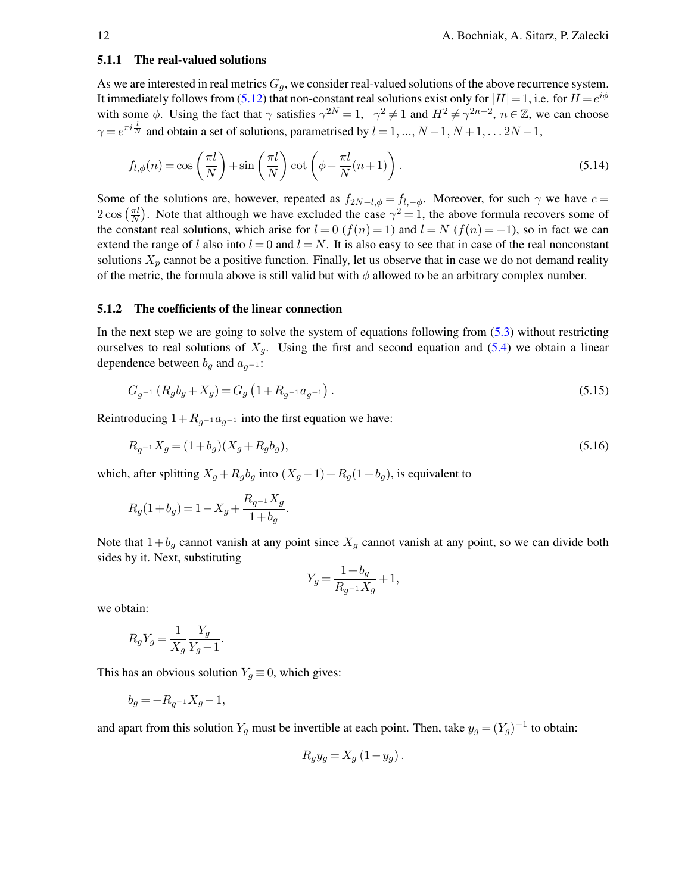#### 5.1.1 The real-valued solutions

As we are interested in real metrics  $G_q$ , we consider real-valued solutions of the above recurrence system. It immediately follows from [\(5.12\)](#page-10-0) that non-constant real solutions exist only for  $|H| = 1$ , i.e. for  $H = e^{i\phi}$ with some  $\phi$ . Using the fact that  $\gamma$  satisfies  $\gamma^{2N} = 1$ ,  $\gamma^2 \neq 1$  and  $H^2 \neq \gamma^{2n+2}$ ,  $n \in \mathbb{Z}$ , we can choose  $\gamma = e^{\pi i \frac{l}{N}}$  and obtain a set of solutions, parametrised by  $l = 1, ..., N - 1, N + 1, ... 2N - 1$ ,

$$
f_{l,\phi}(n) = \cos\left(\frac{\pi l}{N}\right) + \sin\left(\frac{\pi l}{N}\right)\cot\left(\phi - \frac{\pi l}{N}(n+1)\right). \tag{5.14}
$$

Some of the solutions are, however, repeated as  $f_{2N-l,\phi} = f_{l,-\phi}$ . Moreover, for such  $\gamma$  we have  $c =$  $2\cos\left(\frac{\pi l}{N}\right)$  $\frac{\pi l}{N}$ ). Note that although we have excluded the case  $\gamma^2 = 1$ , the above formula recovers some of the constant real solutions, which arise for  $l = 0$  ( $f(n) = 1$ ) and  $l = N$  ( $f(n) = -1$ ), so in fact we can extend the range of l also into  $l = 0$  and  $l = N$ . It is also easy to see that in case of the real nonconstant solutions  $X_p$  cannot be a positive function. Finally, let us observe that in case we do not demand reality of the metric, the formula above is still valid but with  $\phi$  allowed to be an arbitrary complex number.

#### 5.1.2 The coefficients of the linear connection

In the next step we are going to solve the system of equations following from [\(5.3\)](#page-9-2) without restricting ourselves to real solutions of  $X_q$ . Using the first and second equation and [\(5.4\)](#page-9-3) we obtain a linear dependence between  $b_g$  and  $a_{g^{-1}}$ :

$$
G_{g^{-1}}\left(R_g b_g + X_g\right) = G_g\left(1 + R_{g^{-1}} a_{g^{-1}}\right). \tag{5.15}
$$

Reintroducing  $1+R_{q-1}a_{q-1}$  into the first equation we have:

$$
R_{g^{-1}}X_g = (1 + b_g)(X_g + R_g b_g),\tag{5.16}
$$

which, after splitting  $X_q + R_q b_q$  into  $(X_q - 1) + R_q(1 + b_q)$ , is equivalent to

$$
R_g(1+b_g) = 1-X_g + \frac{R_{g^{-1}}X_g}{1+b_g}.
$$

Note that  $1+b_g$  cannot vanish at any point since  $X_g$  cannot vanish at any point, so we can divide both sides by it. Next, substituting

<span id="page-11-0"></span>
$$
Y_g = \frac{1 + b_g}{R_{g^{-1}} X_g} + 1,
$$

we obtain:

$$
R_g Y_g = \frac{1}{X_g} \frac{Y_g}{Y_g - 1}.
$$

This has an obvious solution  $Y_g \equiv 0$ , which gives:

$$
b_g = -R_{g^{-1}} X_g - 1,
$$

and apart from this solution  $Y_g$  must be invertible at each point. Then, take  $y_g = (Y_g)^{-1}$  to obtain:

$$
R_{g}y_{g} = X_{g} (1 - y_{g}).
$$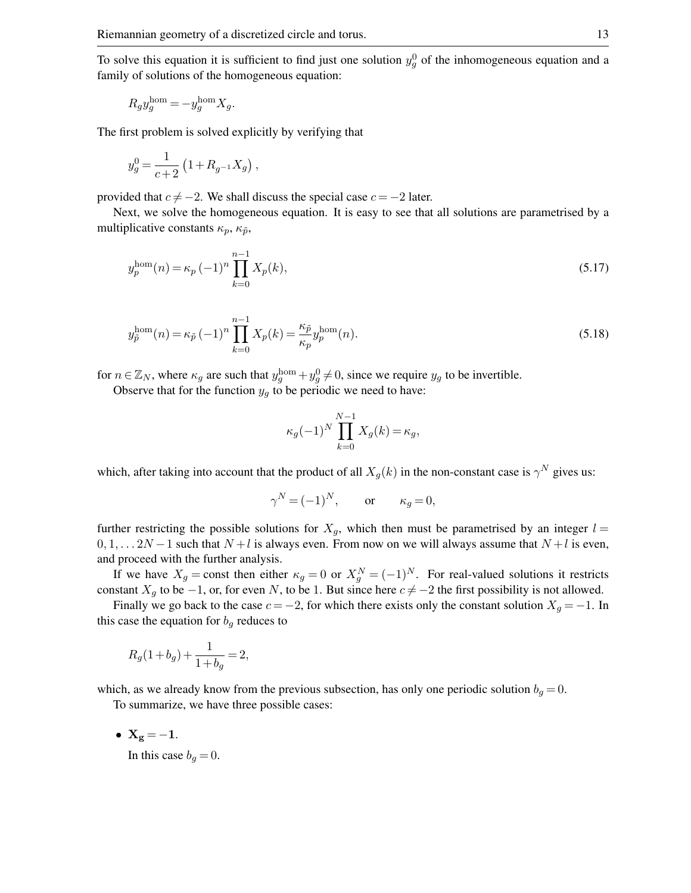To solve this equation it is sufficient to find just one solution  $y_g^0$  of the inhomogeneous equation and a family of solutions of the homogeneous equation:

$$
R_g y_g^{\text{hom}} = -y_g^{\text{hom}} X_g.
$$

The first problem is solved explicitly by verifying that

$$
y_g^0 = \frac{1}{c+2} \left( 1 + R_{g^{-1}} X_g \right),
$$

provided that  $c \neq -2$ . We shall discuss the special case  $c = -2$  later.

Next, we solve the homogeneous equation. It is easy to see that all solutions are parametrised by a multiplicative constants  $\kappa_p$ ,  $\kappa_{\tilde{p}}$ ,

$$
y_p^{\text{hom}}(n) = \kappa_p \left( -1 \right)^n \prod_{k=0}^{n-1} X_p(k), \tag{5.17}
$$

$$
y_{\tilde{p}}^{\text{hom}}(n) = \kappa_{\tilde{p}} (-1)^n \prod_{k=0}^{n-1} X_p(k) = \frac{\kappa_{\tilde{p}}}{\kappa_p} y_p^{\text{hom}}(n).
$$
 (5.18)

for  $n \in \mathbb{Z}_N$ , where  $\kappa_g$  are such that  $y_g^{\text{hom}} + y_g^0 \neq 0$ , since we require  $y_g$  to be invertible.

Observe that for the function  $y_g$  to be periodic we need to have:

<span id="page-12-0"></span>
$$
\kappa_g(-1)^N \prod_{k=0}^{N-1} X_g(k) = \kappa_g,
$$

which, after taking into account that the product of all  $X_g(k)$  in the non-constant case is  $\gamma^N$  gives us:

$$
\gamma^N = (-1)^N, \qquad \text{or} \qquad \kappa_g = 0,
$$

further restricting the possible solutions for  $X_q$ , which then must be parametrised by an integer  $l =$  $0, 1, \ldots 2N-1$  such that  $N+l$  is always even. From now on we will always assume that  $N+l$  is even, and proceed with the further analysis.

If we have  $X_g = \text{const}$  then either  $\kappa_g = 0$  or  $X_g^N = (-1)^N$ . For real-valued solutions it restricts constant  $X_q$  to be −1, or, for even N, to be 1. But since here  $c \neq -2$  the first possibility is not allowed.

Finally we go back to the case  $c = -2$ , for which there exists only the constant solution  $X_g = -1$ . In this case the equation for  $b_g$  reduces to

$$
R_g(1+b_g)+\frac{1}{1+b_g}=2,
$$

which, as we already know from the previous subsection, has only one periodic solution  $b<sub>q</sub> = 0$ . To summarize, we have three possible cases:

•  $X_g = -1$ .

In this case  $b_g = 0$ .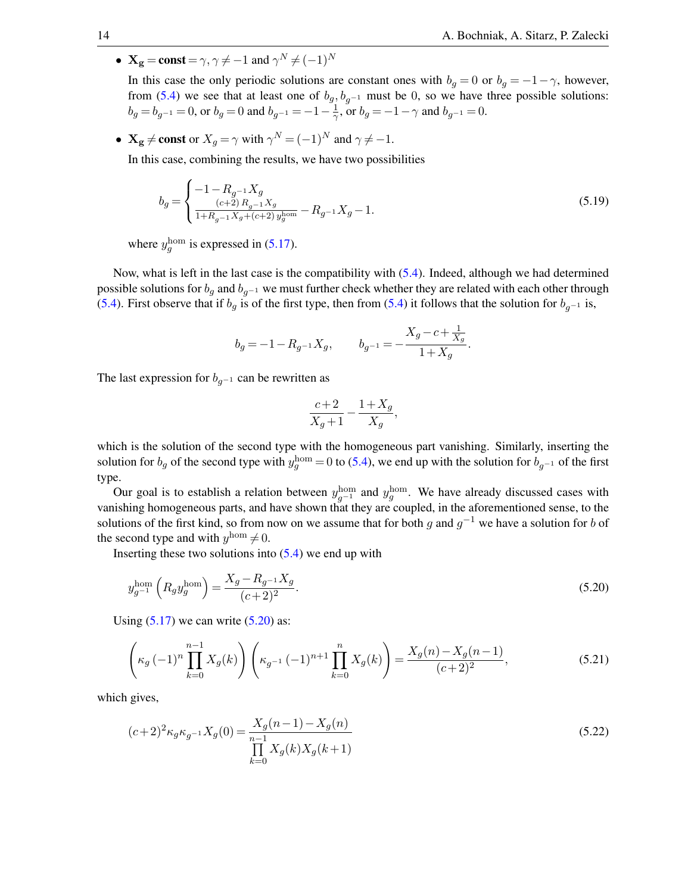•  $X_g = const = \gamma, \gamma \neq -1$  and  $\gamma^N \neq (-1)^N$ 

In this case the only periodic solutions are constant ones with  $b_q = 0$  or  $b_q = -1 - \gamma$ , however, from [\(5.4\)](#page-9-3) we see that at least one of  $b_g$ ,  $b_{g^{-1}}$  must be 0, so we have three possible solutions:  $b_g = b_{g^{-1}} = 0$ , or  $b_g = 0$  and  $b_{g^{-1}} = -1 - \frac{1}{\gamma}$  $\frac{1}{\gamma}$ , or  $b_g = -1 - \gamma$  and  $b_{g^{-1}} = 0$ .

•  $X_g \neq \text{const}$  or  $X_g = \gamma$  with  $\gamma^N = (-1)^N$  and  $\gamma \neq -1$ .

In this case, combining the results, we have two possibilities

$$
b_g = \begin{cases} -1 - R_{g^{-1}} X_g & (5.19) \\ \frac{(c+2) R_{g^{-1}} X_g}{1 + R_{g^{-1}} X_g + (c+2) y_g^{\text{hom}}} - R_{g^{-1}} X_g - 1. \end{cases}
$$

where  $y_g^{\text{hom}}$  is expressed in [\(5.17\)](#page-12-0).

Now, what is left in the last case is the compatibility with [\(5.4\)](#page-9-3). Indeed, although we had determined possible solutions for  $b_g$  and  $b_{g^{-1}}$  we must further check whether they are related with each other through [\(5.4\)](#page-9-3). First observe that if  $b_g$  is of the first type, then from (5.4) it follows that the solution for  $b_{g^{-1}}$  is,

$$
b_g = -1 - R_{g^{-1}} X_g, \qquad b_{g^{-1}} = -\frac{X_g - c + \frac{1}{X_g}}{1+X_g}.
$$

The last expression for  $b_{q^{-1}}$  can be rewritten as

<span id="page-13-0"></span>
$$
\frac{c+2}{X_g+1} - \frac{1+X_g}{X_g},
$$

which is the solution of the second type with the homogeneous part vanishing. Similarly, inserting the solution for  $b_g$  of the second type with  $y_g^{\text{hom}} = 0$  to [\(5.4\)](#page-9-3), we end up with the solution for  $b_{g^{-1}}$  of the first type.

Our goal is to establish a relation between  $y_{g^{-1}}^{\text{hom}}$  and  $y_g^{\text{hom}}$ . We have already discussed cases with vanishing homogeneous parts, and have shown that they are coupled, in the aforementioned sense, to the solutions of the first kind, so from now on we assume that for both g and  $g^{-1}$  we have a solution for b of the second type and with  $y^{\text{hom}} \neq 0$ .

Inserting these two solutions into  $(5.4)$  we end up with

$$
y_{g^{-1}}^{\text{hom}}\left(R_g y_g^{\text{hom}}\right) = \frac{X_g - R_{g^{-1}} X_g}{(c+2)^2}.
$$
\n(5.20)

Using  $(5.17)$  we can write  $(5.20)$  as:

$$
\left(\kappa_g\left(-1\right)^n \prod_{k=0}^{n-1} X_g(k)\right) \left(\kappa_{g^{-1}}\left(-1\right)^{n+1} \prod_{k=0}^n X_g(k)\right) = \frac{X_g(n) - X_g(n-1)}{(c+2)^2},\tag{5.21}
$$

which gives,

$$
(c+2)^2 \kappa_g \kappa_{g^{-1}} X_g(0) = \frac{X_g(n-1) - X_g(n)}{\prod_{k=0}^{n-1} X_g(k) X_g(k+1)}
$$
(5.22)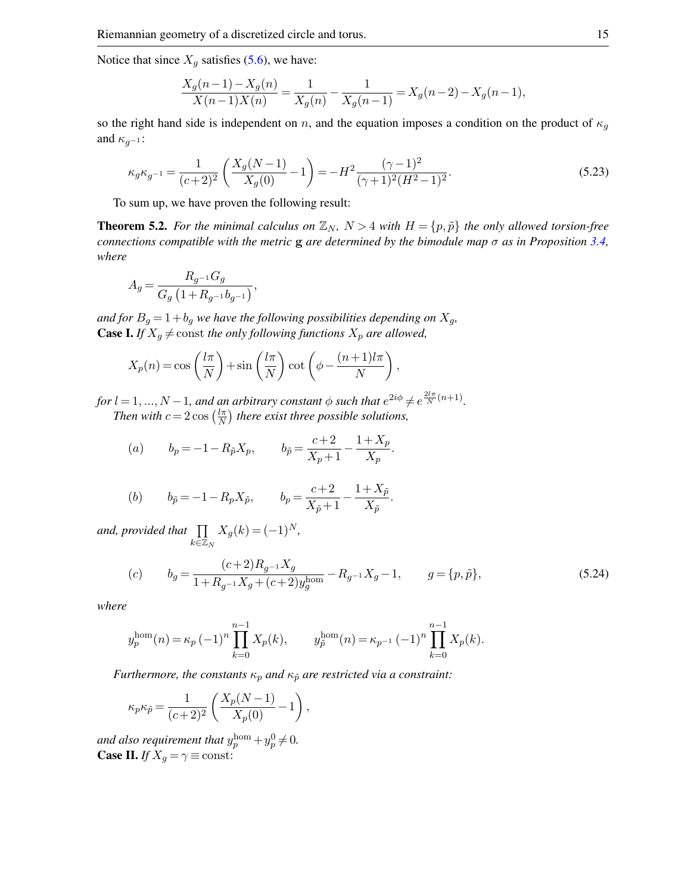Notice that since  $X_g$  satisfies [\(5.6\)](#page-9-0), we have:

$$
\frac{X_g(n-1) - X_g(n)}{X(n-1)X(n)} = \frac{1}{X_g(n)} - \frac{1}{X_g(n-1)} = X_g(n-2) - X_g(n-1),
$$

so the right hand side is independent on n, and the equation imposes a condition on the product of  $\kappa_g$ and  $\kappa_{q-1}$ :

$$
\kappa_g \kappa_{g^{-1}} = \frac{1}{(c+2)^2} \left( \frac{X_g(N-1)}{X_g(0)} - 1 \right) = -H^2 \frac{(\gamma - 1)^2}{(\gamma + 1)^2 (H^2 - 1)^2}.
$$
\n(5.23)

To sum up, we have proven the following result:

<span id="page-14-1"></span>**Theorem 5.2.** For the minimal calculus on  $\mathbb{Z}_N$ ,  $N > 4$  with  $H = \{p, \tilde{p}\}\$  the only allowed torsion-free *connections compatible with the metric* g *are determined by the bimodule map* σ *as in Proposition [3.4,](#page-4-2) where*

$$
A_g=\frac{R_{g^{-1}}G_g}{G_g\left(1+R_{g^{-1}}b_{g^{-1}}\right)},
$$

*and for*  $B_g = 1 + b_g$  *we have the following possibilities depending on*  $X_g$ , **Case I.** *If*  $X_g \neq$  const *the only following functions*  $X_p$  *are allowed,* 

$$
X_p(n) = \cos\left(\frac{l\pi}{N}\right) + \sin\left(\frac{l\pi}{N}\right)\cot\left(\phi - \frac{(n+1)l\pi}{N}\right),\,
$$

*for*  $l = 1, ..., N - 1$ *, and an arbitrary constant*  $\phi$  *such that*  $e^{2i\phi} \neq e^{\frac{2l\pi}{N}(n+1)}$ *. Then with*  $c = 2 \cos \left( \frac{l \pi}{N} \right)$  $\frac{l\pi}{N}$ ) there exist three possible solutions,

(a) 
$$
b_p = -1 - R_{\tilde{p}} X_p
$$
,  $b_{\tilde{p}} = \frac{c+2}{X_p+1} - \frac{1+X_p}{X_p}$ .

(b) 
$$
b_{\tilde{p}} = -1 - R_p X_{\tilde{p}},
$$
  $b_p = \frac{c+2}{X_{\tilde{p}}+1} - \frac{1+X_{\tilde{p}}}{X_{\tilde{p}}}.$ 

and, provided that  $\prod$  $\bar{k}$ ∈ $\mathbb{\bar{Z}}_N$  $X_g(k) = (-1)^N,$ 

<span id="page-14-0"></span>
$$
(c) \t b_g = \frac{(c+2)R_g - 1X_g}{1 + R_{g-1}X_g + (c+2)y_g^{\text{hom}}} - R_{g-1}X_g - 1, \t g = \{p, \tilde{p}\},
$$
\t(5.24)

*where*

$$
y_p^{\text{hom}}(n) = \kappa_p (-1)^n \prod_{k=0}^{n-1} X_p(k), \qquad y_{\tilde{p}}^{\text{hom}}(n) = \kappa_{p-1} (-1)^n \prod_{k=0}^{n-1} X_p(k).
$$

*Furthermore, the constants*  $\kappa_p$  *and*  $\kappa_{\tilde{p}}$  *are restricted via a constraint:* 

$$
\kappa_p \kappa_{\tilde{p}} = \frac{1}{(c+2)^2} \left( \frac{X_p(N-1)}{X_p(0)} - 1 \right),
$$

and also requirement that  $y_p^{\text{hom}} + y_p^0 \neq 0$ . **Case II.** *If*  $X_g = \gamma \equiv \text{const.}$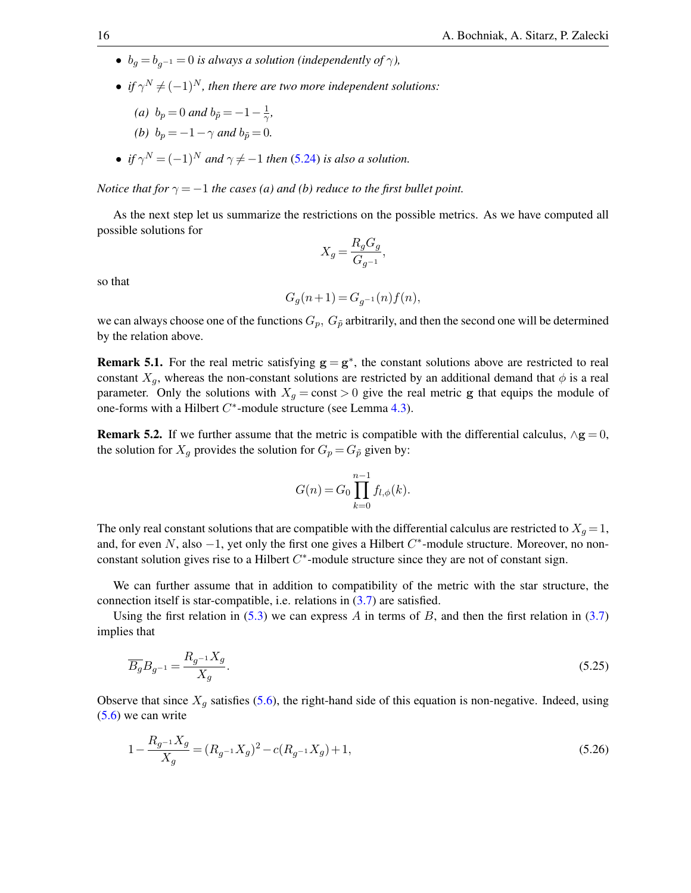- $b_q = b_{q-1} = 0$  *is always a solution (independently of*  $\gamma$ *)*,
- *if*  $\gamma^N \neq (-1)^N$ , then there are two more independent solutions:

*,*

(a) 
$$
b_p = 0
$$
 and  $b_{\tilde{p}} = -1 - \frac{1}{\gamma}$ 

- *(b)*  $b_p = -1 \gamma$  *and*  $b_{\tilde{p}} = 0$ *.*
- *if*  $\gamma^N = (-1)^N$  and  $\gamma \neq -1$  then [\(5.24\)](#page-14-0) *is also a solution.*

*Notice that for*  $\gamma = -1$  *the cases (a) and (b) reduce to the first bullet point.* 

As the next step let us summarize the restrictions on the possible metrics. As we have computed all possible solutions for

$$
X_g = \frac{R_g G_g}{G_{g^{-1}}},
$$

so that

$$
G_g(n+1) = G_{g^{-1}}(n) f(n),
$$

we can always choose one of the functions  $G_p$ ,  $G_{\tilde{p}}$  arbitrarily, and then the second one will be determined by the relation above.

<span id="page-15-1"></span>**Remark 5.1.** For the real metric satisfying  $g = g^*$ , the constant solutions above are restricted to real constant  $X_q$ , whereas the non-constant solutions are restricted by an additional demand that  $\phi$  is a real parameter. Only the solutions with  $X_g = \text{const} > 0$  give the real metric g that equips the module of one-forms with a Hilbert  $C^*$ -module structure (see Lemma [4.3\)](#page-7-1).

**Remark 5.2.** If we further assume that the metric is compatible with the differential calculus,  $\wedge$ **g** = 0, the solution for  $X_q$  provides the solution for  $G_p = G_{\tilde{p}}$  given by:

$$
G(n) = G_0 \prod_{k=0}^{n-1} f_{l,\phi}(k).
$$

The only real constant solutions that are compatible with the differential calculus are restricted to  $X_g = 1$ , and, for even N, also  $-1$ , yet only the first one gives a Hilbert  $C^*$ -module structure. Moreover, no nonconstant solution gives rise to a Hilbert  $C^*$ -module structure since they are not of constant sign.

We can further assume that in addition to compatibility of the metric with the star structure, the connection itself is star-compatible, i.e. relations in [\(3.7\)](#page-5-1) are satisfied.

Using the first relation in [\(5.3\)](#page-9-2) we can express A in terms of B, and then the first relation in [\(3.7\)](#page-5-1) implies that

<span id="page-15-0"></span>
$$
\overline{B_g} B_{g^{-1}} = \frac{R_{g^{-1}} X_g}{X_g}.
$$
\n(5.25)

Observe that since  $X_q$  satisfies [\(5.6\)](#page-9-0), the right-hand side of this equation is non-negative. Indeed, using [\(5.6\)](#page-9-0) we can write

$$
1 - \frac{R_{g^{-1}}X_g}{X_g} = (R_{g^{-1}}X_g)^2 - c(R_{g^{-1}}X_g) + 1,
$$
\n(5.26)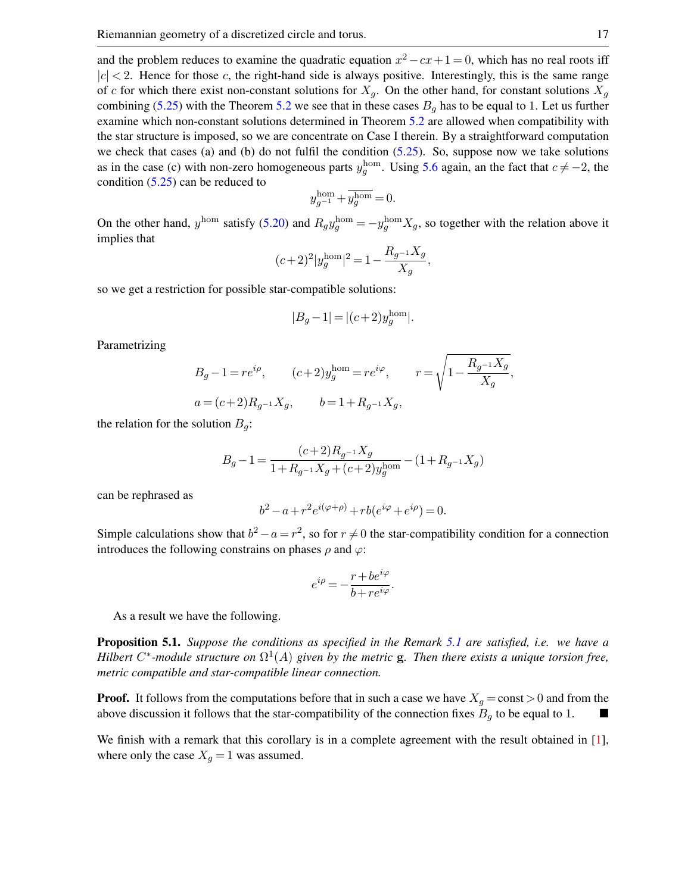and the problem reduces to examine the quadratic equation  $x^2 - cx + 1 = 0$ , which has no real roots iff  $|c| < 2$ . Hence for those c, the right-hand side is always positive. Interestingly, this is the same range of c for which there exist non-constant solutions for  $X_q$ . On the other hand, for constant solutions  $X_q$ combining [\(5.25\)](#page-15-0) with the Theorem [5.2](#page-14-1) we see that in these cases  $B_q$  has to be equal to 1. Let us further examine which non-constant solutions determined in Theorem [5.2](#page-14-1) are allowed when compatibility with the star structure is imposed, so we are concentrate on Case I therein. By a straightforward computation we check that cases (a) and (b) do not fulfil the condition [\(5.25\)](#page-15-0). So, suppose now we take solutions as in the case (c) with non-zero homogeneous parts  $y_g^{\text{hom}}$ . Using [5.6](#page-9-0) again, an the fact that  $c \neq -2$ , the condition [\(5.25\)](#page-15-0) can be reduced to

$$
y_{g^{-1}}^{\rm hom} + \overline{y_g^{\rm hom}} = 0.
$$

On the other hand,  $y^{\text{hom}}$  satisfy [\(5.20\)](#page-13-0) and  $R_g y^{\text{hom}}_g = -y^{\text{hom}}_g X_g$ , so together with the relation above it implies that

$$
(c+2)^2|y_g^{\text{hom}}|^2 = 1 - \frac{R_{g^{-1}}X_g}{X_g},
$$

so we get a restriction for possible star-compatible solutions:

$$
|B_g - 1| = |(c+2)y_g^{\text{hom}}|.
$$

Parametrizing

$$
B_g - 1 = re^{i\rho}, \t(c+2)y_g^{\text{hom}} = re^{i\varphi}, \t r = \sqrt{1 - \frac{R_{g^{-1}}X_g}{X_g}},
$$
  

$$
a = (c+2)R_{g^{-1}}X_g, \t b = 1 + R_{g^{-1}}X_g,
$$

the relation for the solution  $B_q$ :

$$
B_g - 1 = \frac{(c+2)R_{g^{-1}}X_g}{1 + R_{g^{-1}}X_g + (c+2)y_g^{\text{hom}}} - (1 + R_{g^{-1}}X_g)
$$

can be rephrased as

$$
b^2 - a + r^2 e^{i(\varphi + \rho)} + r b(e^{i\varphi} + e^{i\rho}) = 0.
$$

Simple calculations show that  $b^2 - a = r^2$ , so for  $r \neq 0$  the star-compatibility condition for a connection introduces the following constrains on phases  $\rho$  and  $\varphi$ :

$$
e^{i\rho}=-\frac{r+be^{i\varphi}}{b+re^{i\varphi}}.
$$

As a result we have the following.

Proposition 5.1. *Suppose the conditions as specified in the Remark [5.1](#page-15-1) are satisfied, i.e. we have a Hilbert*  $C^*$ -module structure on  $\Omega^1(A)$  given by the metric **g**. Then there exists a unique torsion free, *metric compatible and star-compatible linear connection.*

**Proof.** It follows from the computations before that in such a case we have  $X_g = \text{const} > 0$  and from the above discussion it follows that the star-compatibility of the connection fixes  $B_q$  to be equal to 1.

We finish with a remark that this corollary is in a complete agreement with the result obtained in [\[1\]](#page-26-2), where only the case  $X_g = 1$  was assumed.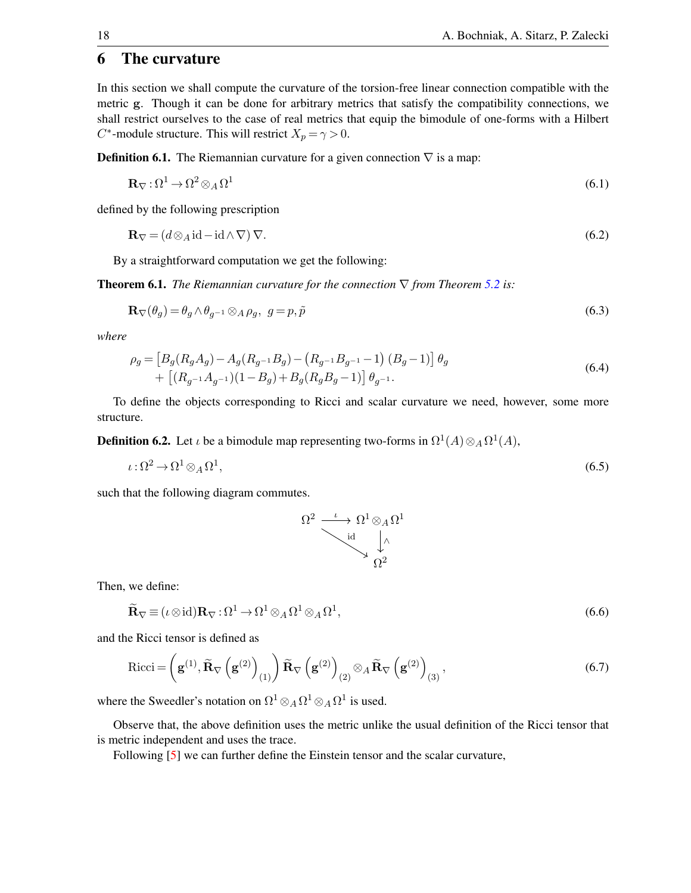### 6 The curvature

In this section we shall compute the curvature of the torsion-free linear connection compatible with the metric g. Though it can be done for arbitrary metrics that satisfy the compatibility connections, we shall restrict ourselves to the case of real metrics that equip the bimodule of one-forms with a Hilbert  $C^*$ -module structure. This will restrict  $X_p = \gamma > 0$ .

**Definition 6.1.** The Riemannian curvature for a given connection  $\nabla$  is a map:

$$
\mathbf{R}_{\nabla} : \Omega^1 \to \Omega^2 \otimes_A \Omega^1 \tag{6.1}
$$

defined by the following prescription

$$
\mathbf{R}_{\nabla} = (d \otimes_A \mathrm{id} - \mathrm{id} \wedge \nabla) \, \nabla. \tag{6.2}
$$

By a straightforward computation we get the following:

**Theorem 6.1.** *The Riemannian curvature for the connection*  $\nabla$  *from Theorem [5.2](#page-14-1) is:* 

$$
\mathbf{R}_{\nabla}(\theta_g) = \theta_g \wedge \theta_{g^{-1}} \otimes_A \rho_g, \ \ g = p, \tilde{p} \tag{6.3}
$$

*where*

$$
\rho_g = \left[ B_g(R_g A_g) - A_g(R_{g^{-1}} B_g) - (R_{g^{-1}} B_{g^{-1}} - 1) (B_g - 1) \right] \theta_g + \left[ (R_{g^{-1}} A_{g^{-1}}) (1 - B_g) + B_g(R_g B_g - 1) \right] \theta_{g^{-1}}.
$$
\n(6.4)

To define the objects corresponding to Ricci and scalar curvature we need, however, some more structure.

**Definition 6.2.** Let *i* be a bimodule map representing two-forms in  $\Omega^1(A) \otimes_A \Omega^1(A)$ ,

$$
\iota : \Omega^2 \to \Omega^1 \otimes_A \Omega^1,\tag{6.5}
$$

such that the following diagram commutes.



Then, we define:

$$
\widetilde{\mathbf{R}}_{\nabla} \equiv (\iota \otimes id)\mathbf{R}_{\nabla} : \Omega^1 \to \Omega^1 \otimes_A \Omega^1 \otimes_A \Omega^1,\tag{6.6}
$$

and the Ricci tensor is defined as

$$
Ricci = \left(\mathbf{g}^{(1)}, \widetilde{\mathbf{R}}_{\nabla} \left(\mathbf{g}^{(2)}\right)_{(1)}\right) \widetilde{\mathbf{R}}_{\nabla} \left(\mathbf{g}^{(2)}\right)_{(2)} \otimes_{A} \widetilde{\mathbf{R}}_{\nabla} \left(\mathbf{g}^{(2)}\right)_{(3)},\tag{6.7}
$$

where the Sweedler's notation on  $\Omega^1 \otimes_A \Omega^1 \otimes_A \Omega^1$  is used.

Observe that, the above definition uses the metric unlike the usual definition of the Ricci tensor that is metric independent and uses the trace.

Following [\[5\]](#page-27-11) we can further define the Einstein tensor and the scalar curvature,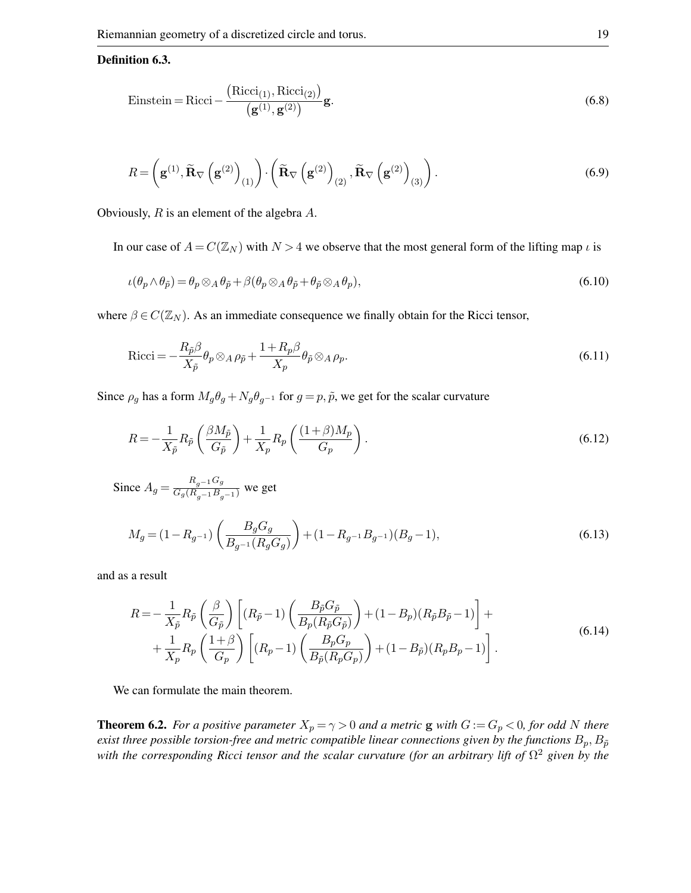#### Definition 6.3.

Einstein = Ricci - 
$$
\frac{\left(\text{Ricci}_{(1)}, \text{Ricci}_{(2)}\right)}{\left(\mathbf{g}^{(1)}, \mathbf{g}^{(2)}\right)}\mathbf{g}.
$$
 (6.8)

$$
R = \left(\mathbf{g}^{(1)}, \widetilde{\mathbf{R}}_{\nabla} \left(\mathbf{g}^{(2)}\right)_{(1)}\right) \cdot \left(\widetilde{\mathbf{R}}_{\nabla} \left(\mathbf{g}^{(2)}\right)_{(2)}, \widetilde{\mathbf{R}}_{\nabla} \left(\mathbf{g}^{(2)}\right)_{(3)}\right). \tag{6.9}
$$

Obviously, R is an element of the algebra A.

In our case of  $A = C(\mathbb{Z}_N)$  with  $N > 4$  we observe that the most general form of the lifting map  $\iota$  is

$$
\iota(\theta_p \wedge \theta_{\tilde{p}}) = \theta_p \otimes_A \theta_{\tilde{p}} + \beta(\theta_p \otimes_A \theta_{\tilde{p}} + \theta_{\tilde{p}} \otimes_A \theta_p),
$$
\n(6.10)

where  $\beta \in C(\mathbb{Z}_N)$ . As an immediate consequence we finally obtain for the Ricci tensor,

$$
Ricci = -\frac{R_{\tilde{p}}\beta}{X_{\tilde{p}}}\theta_p \otimes_A \rho_{\tilde{p}} + \frac{1 + R_p \beta}{X_p} \theta_{\tilde{p}} \otimes_A \rho_p.
$$
\n(6.11)

Since  $\rho_g$  has a form  $M_g \theta_g + N_g \theta_{g^{-1}}$  for  $g = p, \tilde{p}$ , we get for the scalar curvature

$$
R = -\frac{1}{X_{\tilde{p}}} R_{\tilde{p}} \left( \frac{\beta M_{\tilde{p}}}{G_{\tilde{p}}} \right) + \frac{1}{X_p} R_p \left( \frac{(1+\beta)M_p}{G_p} \right). \tag{6.12}
$$

Since  $A_g = \frac{R_{g^{-1}}G_g}{G_g(R_{g^{-1}}B_{g^{-1}})}$  we get

$$
M_g = (1 - R_{g^{-1}}) \left( \frac{B_g G_g}{B_{g^{-1}}(R_g G_g)} \right) + (1 - R_{g^{-1}} B_{g^{-1}})(B_g - 1),\tag{6.13}
$$

and as a result

$$
R = -\frac{1}{X_{\tilde{p}}} R_{\tilde{p}} \left( \frac{\beta}{G_{\tilde{p}}} \right) \left[ (R_{\tilde{p}} - 1) \left( \frac{B_{\tilde{p}} G_{\tilde{p}}}{B_p (R_{\tilde{p}} G_{\tilde{p}})} \right) + (1 - B_p)(R_{\tilde{p}} B_{\tilde{p}} - 1) \right] +
$$
  
+ 
$$
\frac{1}{X_p} R_p \left( \frac{1 + \beta}{G_p} \right) \left[ (R_p - 1) \left( \frac{B_p G_p}{B_{\tilde{p}} (R_p G_p)} \right) + (1 - B_{\tilde{p}})(R_p B_p - 1) \right].
$$
 (6.14)

<span id="page-18-0"></span>We can formulate the main theorem.

**Theorem 6.2.** *For a positive parameter*  $X_p = \gamma > 0$  *and a metric* g *with*  $G := G_p < 0$ *, for odd* N *there exist three possible torsion-free and metric compatible linear connections given by the functions*  $B_p$ ,  $B_{\tilde{p}}$ *with the corresponding Ricci tensor and the scalar curvature (for an arbitrary lift of* Ω <sup>2</sup> *given by the*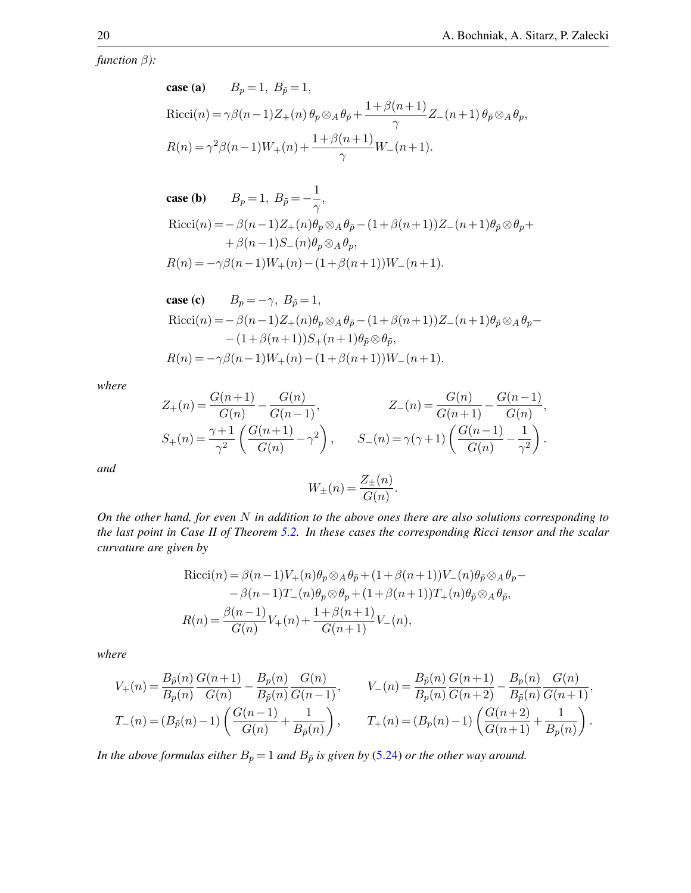*function* β*):*

**case (a)** 
$$
B_p = 1
$$
,  $B_{\tilde{p}} = 1$ ,  
\nRicci(n) =  $\gamma \beta(n-1)Z_+(n) \theta_p \otimes_A \theta_{\tilde{p}} + \frac{1+\beta(n+1)}{\gamma} Z_-(n+1) \theta_{\tilde{p}} \otimes_A \theta_p$ ,  
\n $R(n) = \gamma^2 \beta(n-1)W_+(n) + \frac{1+\beta(n+1)}{\gamma}W_-(n+1)$ .

**case (b)** 
$$
B_p = 1, B_{\tilde{p}} = -\frac{1}{\gamma},
$$
  
Ricci $(n) = -\beta(n-1)Z_{+}(n)\theta_p \otimes_A \theta_{\tilde{p}} - (1+\beta(n+1))Z_{-}(n+1)\theta_{\tilde{p}} \otimes \theta_p +$   
 $+\beta(n-1)S_{-}(n)\theta_p \otimes_A \theta_p,$   
 $R(n) = -\gamma\beta(n-1)W_{+}(n) - (1+\beta(n+1))W_{-}(n+1).$ 

**case (c)** 
$$
B_p = -\gamma, B_{\tilde{p}} = 1,
$$
  
Ricci(n) =  $-\beta(n-1)Z_+(n)\theta_p \otimes_A \theta_{\tilde{p}} - (1+\beta(n+1))Z_-(n+1)\theta_{\tilde{p}} \otimes_A \theta_p - (1+\beta(n+1))S_+(n+1)\theta_{\tilde{p}} \otimes \theta_{\tilde{p}},$   

$$
R(n) = -\gamma\beta(n-1)W_+(n) - (1+\beta(n+1))W_-(n+1).
$$

*where*

$$
Z_{+}(n) = \frac{G(n+1)}{G(n)} - \frac{G(n)}{G(n-1)},
$$
  
\n
$$
Z_{-}(n) = \frac{G(n)}{G(n+1)} - \frac{G(n-1)}{G(n)},
$$
  
\n
$$
S_{+}(n) = \frac{\gamma + 1}{\gamma^{2}} \left( \frac{G(n+1)}{G(n)} - \gamma^{2} \right),
$$
  
\n
$$
S_{-}(n) = \gamma(\gamma + 1) \left( \frac{G(n-1)}{G(n)} - \frac{1}{\gamma^{2}} \right).
$$

*and*

$$
W_{\pm}(n) = \frac{Z_{\pm}(n)}{G(n)}.
$$

*On the other hand, for even* N *in addition to the above ones there are also solutions corresponding to the last point in Case II of Theorem [5.2.](#page-14-1) In these cases the corresponding Ricci tensor and the scalar curvature are given by*

$$
Ricci(n) = \beta(n-1)V_{+}(n)\theta_{p} \otimes_{A} \theta_{\tilde{p}} + (1+\beta(n+1))V_{-}(n)\theta_{\tilde{p}} \otimes_{A} \theta_{p} - \beta(n-1)T_{-}(n)\theta_{p} \otimes \theta_{p} + (1+\beta(n+1))T_{+}(n)\theta_{\tilde{p}} \otimes_{A} \theta_{\tilde{p}},
$$

$$
R(n) = \frac{\beta(n-1)}{G(n)}V_{+}(n) + \frac{1+\beta(n+1)}{G(n+1)}V_{-}(n),
$$

*where*

$$
V_{+}(n) = \frac{B_{\tilde{p}}(n)}{B_{p}(n)} \frac{G(n+1)}{G(n)} - \frac{B_{p}(n)}{B_{\tilde{p}}(n)} \frac{G(n)}{G(n-1)}, \qquad V_{-}(n) = \frac{B_{\tilde{p}}(n)}{B_{p}(n)} \frac{G(n+1)}{G(n+2)} - \frac{B_{p}(n)}{B_{\tilde{p}}(n)} \frac{G(n)}{G(n+1)},
$$
  

$$
T_{-}(n) = (B_{\tilde{p}}(n) - 1) \left( \frac{G(n-1)}{G(n)} + \frac{1}{B_{\tilde{p}}(n)} \right), \qquad T_{+}(n) = (B_{p}(n) - 1) \left( \frac{G(n+2)}{G(n+1)} + \frac{1}{B_{p}(n)} \right).
$$

*In the above formulas either*  $B_p = 1$  *and*  $B_{\tilde{p}}$  *is given by* [\(5.24\)](#page-14-0) *or the other way around.*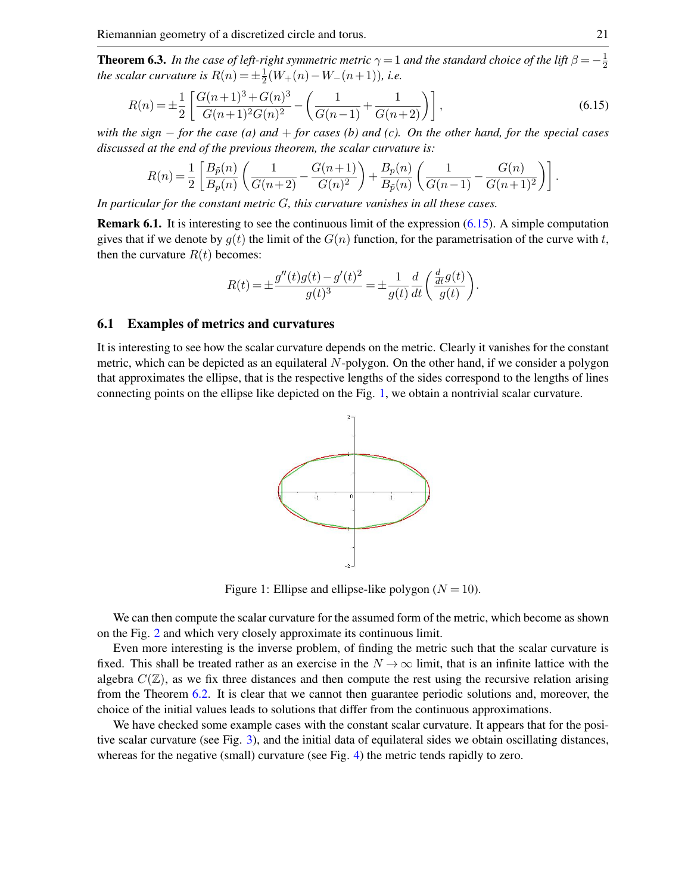**Theorem 6.3.** In the case of left-right symmetric metric  $\gamma = 1$  and the standard choice of the lift  $\beta = -\frac{1}{2}$ **Theorem 6.3.** *In the case of text-right symmetric metric*  $y = 1$  *and the standard choice of the tift*  $p = -\frac{1}{2}$ <br>the scalar curvature is  $R(n) = \pm \frac{1}{2}(W_{+}(n) - W_{-}(n+1))$ , *i.e.*  $\frac{1}{2}(W_+(n) - W_-(n+1))$ *, i.e.* 

$$
R(n) = \pm \frac{1}{2} \left[ \frac{G(n+1)^3 + G(n)^3}{G(n+1)^2 G(n)^2} - \left( \frac{1}{G(n-1)} + \frac{1}{G(n+2)} \right) \right],
$$
\n(6.15)

*with the sign* − *for the case (a) and* + *for cases (b) and (c). On the other hand, for the special cases discussed at the end of the previous theorem, the scalar curvature is:*

$$
R(n) = \frac{1}{2} \left[ \frac{B_{\tilde{p}}(n)}{B_p(n)} \left( \frac{1}{G(n+2)} - \frac{G(n+1)}{G(n)^2} \right) + \frac{B_p(n)}{B_{\tilde{p}}(n)} \left( \frac{1}{G(n-1)} - \frac{G(n)}{G(n+1)^2} \right) \right].
$$

*In particular for the constant metric* G*, this curvature vanishes in all these cases.*

Remark 6.1. It is interesting to see the continuous limit of the expression [\(6.15\)](#page-20-0). A simple computation gives that if we denote by  $g(t)$  the limit of the  $G(n)$  function, for the parametrisation of the curve with t, then the curvature  $R(t)$  becomes:

$$
R(t) = \pm \frac{g''(t)g(t) - g'(t)^2}{g(t)^3} = \pm \frac{1}{g(t)} \frac{d}{dt} \left( \frac{\frac{d}{dt}g(t)}{g(t)} \right)
$$

<span id="page-20-0"></span>.

### 6.1 Examples of metrics and curvatures

<span id="page-20-1"></span>It is interesting to see how the scalar curvature depends on the metric. Clearly it vanishes for the constant metric, which can be depicted as an equilateral  $N$ -polygon. On the other hand, if we consider a polygon that approximates the ellipse, that is the respective lengths of the sides correspond to the lengths of lines connecting points on the ellipse like depicted on the Fig. [1,](#page-20-1) we obtain a nontrivial scalar curvature.



Figure 1: Ellipse and ellipse-like polygon  $(N = 10)$ .

We can then compute the scalar curvature for the assumed form of the metric, which become as shown on the Fig. [2](#page-21-0) and which very closely approximate its continuous limit.

Even more interesting is the inverse problem, of finding the metric such that the scalar curvature is fixed. This shall be treated rather as an exercise in the  $N \to \infty$  limit, that is an infinite lattice with the algebra  $C(\mathbb{Z})$ , as we fix three distances and then compute the rest using the recursive relation arising from the Theorem [6.2.](#page-18-0) It is clear that we cannot then guarantee periodic solutions and, moreover, the choice of the initial values leads to solutions that differ from the continuous approximations.

We have checked some example cases with the constant scalar curvature. It appears that for the positive scalar curvature (see Fig. [3\)](#page-21-1), and the initial data of equilateral sides we obtain oscillating distances, whereas for the negative (small) curvature (see Fig. [4\)](#page-21-2) the metric tends rapidly to zero.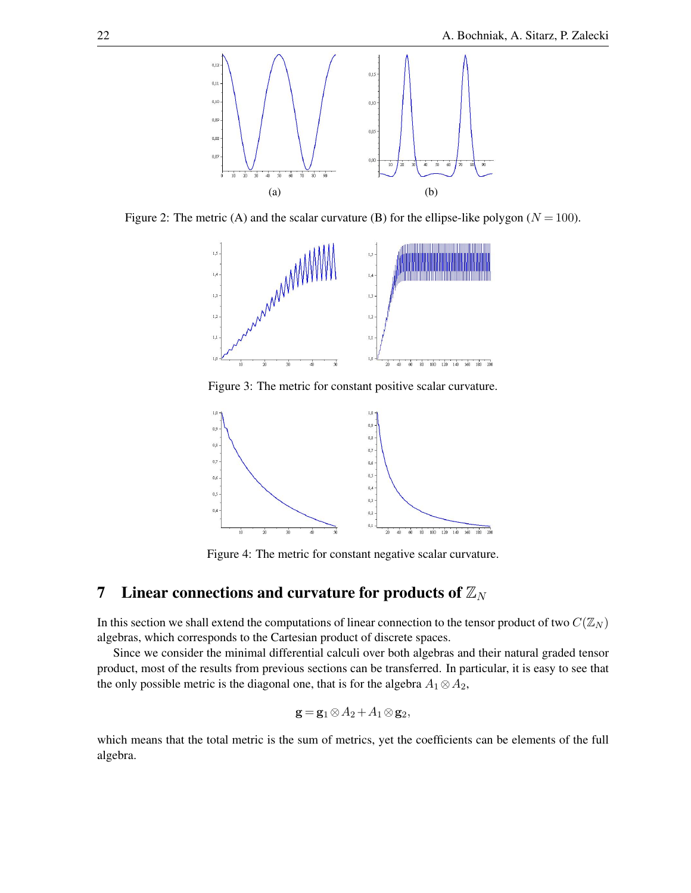<span id="page-21-0"></span>

<span id="page-21-1"></span>Figure 2: The metric (A) and the scalar curvature (B) for the ellipse-like polygon ( $N = 100$ ).



Figure 3: The metric for constant positive scalar curvature.

<span id="page-21-2"></span>

Figure 4: The metric for constant negative scalar curvature.

# 7 Linear connections and curvature for products of  $\mathbb{Z}_N$

In this section we shall extend the computations of linear connection to the tensor product of two  $C(\mathbb{Z}_N)$ algebras, which corresponds to the Cartesian product of discrete spaces.

Since we consider the minimal differential calculi over both algebras and their natural graded tensor product, most of the results from previous sections can be transferred. In particular, it is easy to see that the only possible metric is the diagonal one, that is for the algebra  $A_1 \otimes A_2$ ,

$$
\mathbf{g} = \mathbf{g}_1 \otimes A_2 + A_1 \otimes \mathbf{g}_2,
$$

which means that the total metric is the sum of metrics, yet the coefficients can be elements of the full algebra.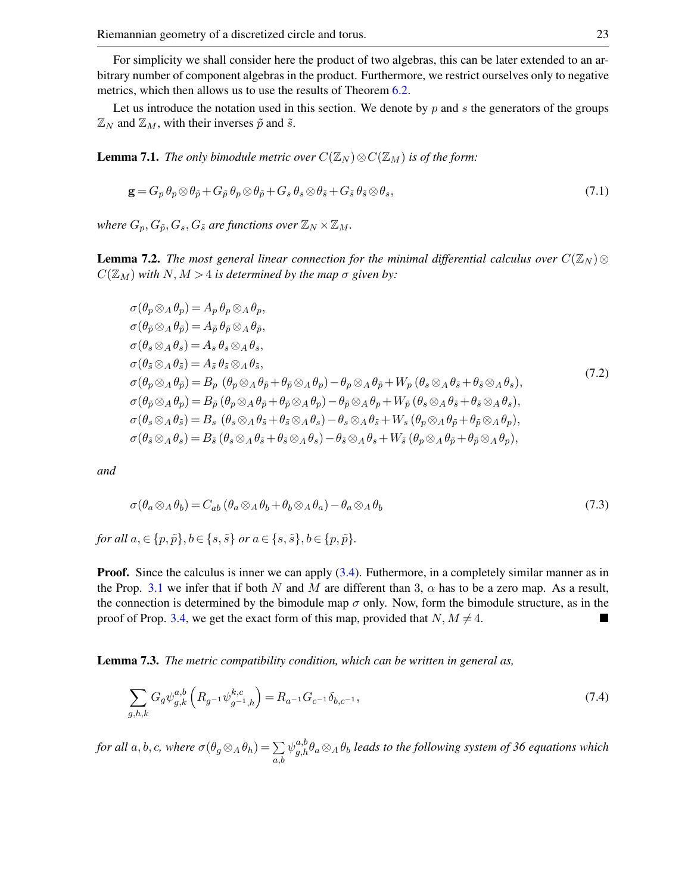For simplicity we shall consider here the product of two algebras, this can be later extended to an arbitrary number of component algebras in the product. Furthermore, we restrict ourselves only to negative metrics, which then allows us to use the results of Theorem [6.2.](#page-18-0)

Let us introduce the notation used in this section. We denote by  $p$  and  $s$  the generators of the groups  $\mathbb{Z}_N$  and  $\mathbb{Z}_M$ , with their inverses  $\tilde{p}$  and  $\tilde{s}$ .

**Lemma 7.1.** *The only bimodule metric over*  $C(\mathbb{Z}_N) \otimes C(\mathbb{Z}_M)$  *is of the form:* 

$$
\mathbf{g} = G_p \, \theta_p \otimes \theta_{\tilde{p}} + G_{\tilde{p}} \, \theta_p \otimes \theta_{\tilde{p}} + G_s \, \theta_s \otimes \theta_{\tilde{s}} + G_{\tilde{s}} \, \theta_{\tilde{s}} \otimes \theta_s,\tag{7.1}
$$

*where*  $G_p$ ,  $G_{\tilde{p}}$ ,  $G_s$ ,  $G_{\tilde{s}}$  *are functions over*  $\mathbb{Z}_N \times \mathbb{Z}_M$ *.* 

**Lemma 7.2.** *The most general linear connection for the minimal differential calculus over*  $C(\mathbb{Z}_N) \otimes$  $C(\mathbb{Z}_M)$  *with*  $N, M > 4$  *is determined by the map*  $\sigma$  *given by:* 

$$
\sigma(\theta_p \otimes_A \theta_p) = A_p \theta_p \otimes_A \theta_p, \n\sigma(\theta_{\tilde{p}} \otimes_A \theta_{\tilde{p}}) = A_{\tilde{p}} \theta_{\tilde{p}} \otimes_A \theta_{\tilde{p}}, \n\sigma(\theta_s \otimes_A \theta_s) = A_s \theta_s \otimes_A \theta_s, \n\sigma(\theta_{\tilde{s}} \otimes_A \theta_{\tilde{s}}) = A_{\tilde{s}} \theta_{\tilde{s}} \otimes_A \theta_{\tilde{s}}, \n\sigma(\theta_p \otimes_A \theta_{\tilde{p}}) = B_p (\theta_p \otimes_A \theta_{\tilde{p}} + \theta_{\tilde{p}} \otimes_A \theta_p) - \theta_p \otimes_A \theta_{\tilde{p}} + W_p (\theta_s \otimes_A \theta_{\tilde{s}} + \theta_{\tilde{s}} \otimes_A \theta_s), \n\sigma(\theta_{\tilde{p}} \otimes_A \theta_p) = B_{\tilde{p}} (\theta_p \otimes_A \theta_{\tilde{p}} + \theta_{\tilde{p}} \otimes_A \theta_p) - \theta_{\tilde{p}} \otimes_A \theta_p + W_{\tilde{p}} (\theta_s \otimes_A \theta_{\tilde{s}} + \theta_{\tilde{s}} \otimes_A \theta_s), \n\sigma(\theta_s \otimes_A \theta_{\tilde{s}}) = B_s (\theta_s \otimes_A \theta_{\tilde{s}} + \theta_{\tilde{s}} \otimes_A \theta_s) - \theta_s \otimes_A \theta_{\tilde{s}} + W_s (\theta_p \otimes_A \theta_{\tilde{p}} + \theta_{\tilde{p}} \otimes_A \theta_p), \n\sigma(\theta_{\tilde{s}} \otimes_A \theta_s) = B_{\tilde{s}} (\theta_s \otimes_A \theta_{\tilde{s}} + \theta_{\tilde{s}} \otimes_A \theta_s) - \theta_{\tilde{s}} \otimes_A \theta_s + W_{\tilde{s}} (\theta_p \otimes_A \theta_{\tilde{p}} + \theta_{\tilde{p}} \otimes_A \theta_p),
$$
\n(7.2)

*and*

$$
\sigma(\theta_a \otimes_A \theta_b) = C_{ab} (\theta_a \otimes_A \theta_b + \theta_b \otimes_A \theta_a) - \theta_a \otimes_A \theta_b \tag{7.3}
$$

*for all*  $a, \in \{p, \tilde{p}\}, b \in \{s, \tilde{s}\}$  *or*  $a \in \{s, \tilde{s}\}, b \in \{p, \tilde{p}\}.$ 

**Proof.** Since the calculus is inner we can apply [\(3.4\)](#page-3-0). Futhermore, in a completely similar manner as in the Prop. [3.1](#page-4-0) we infer that if both N and M are different than 3,  $\alpha$  has to be a zero map. As a result, the connection is determined by the bimodule map  $\sigma$  only. Now, form the bimodule structure, as in the proof of Prop. [3.4,](#page-4-2) we get the exact form of this map, provided that  $N, M \neq 4$ .

Lemma 7.3. *The metric compatibility condition, which can be written in general as,*

$$
\sum_{g,h,k} G_g \psi_{g,k}^{a,b} \left( R_{g^{-1}} \psi_{g^{-1},h}^{k,c} \right) = R_{a^{-1}} G_{c^{-1}} \delta_{b,c^{-1}},\tag{7.4}
$$

*for all a, b, c, where*  $\sigma(\theta_g \otimes_A \theta_h) = \sum$ a,b  $\psi^{a,b}_{g,h}\theta_a\otimes_A\theta_b$  leads to the following system of 36 equations which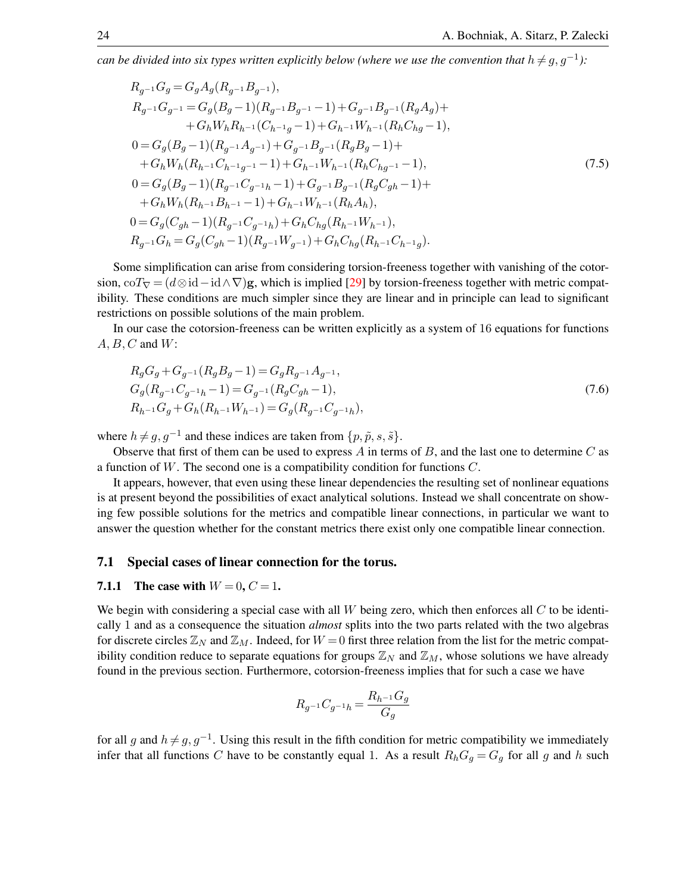*can be divided into six types written explicitly below (where we use the convention that*  $h \neq g, g^{-1}$ ):

$$
R_{g^{-1}}G_g = G_g A_g (R_{g^{-1}}B_{g^{-1}}),
$$
  
\n
$$
R_{g^{-1}}G_{g^{-1}} = G_g (B_g - 1)(R_{g^{-1}}B_{g^{-1}} - 1) + G_{g^{-1}}B_{g^{-1}}(R_g A_g) +
$$
  
\n
$$
+ G_h W_h R_{h^{-1}}(C_{h^{-1}g} - 1) + G_{h^{-1}}W_{h^{-1}}(R_h C_{hg} - 1),
$$
  
\n
$$
0 = G_g (B_g - 1)(R_{g^{-1}}A_{g^{-1}}) + G_{g^{-1}}B_{g^{-1}}(R_g B_g - 1) +
$$
  
\n
$$
+ G_h W_h (R_{h^{-1}}C_{h^{-1}g^{-1}} - 1) + G_{h^{-1}}W_{h^{-1}}(R_h C_{hg^{-1}} - 1),
$$
  
\n
$$
0 = G_g (B_g - 1)(R_{g^{-1}}C_{g^{-1}h} - 1) + G_{g^{-1}}B_{g^{-1}}(R_g C_{gh} - 1) +
$$
  
\n
$$
+ G_h W_h (R_{h^{-1}}B_{h^{-1}} - 1) + G_{h^{-1}}W_{h^{-1}}(R_h A_h),
$$
  
\n
$$
0 = G_g (C_{gh} - 1)(R_{g^{-1}}C_{g^{-1}h}) + G_h C_{hg} (R_{h^{-1}}W_{h^{-1}}),
$$
  
\n
$$
R_{g^{-1}}G_h = G_g (C_{gh} - 1)(R_{g^{-1}}W_{g^{-1}}) + G_h C_{hg} (R_{h^{-1}}C_{h^{-1}g}).
$$
  
\n(7.5)

Some simplification can arise from considering torsion-freeness together with vanishing of the cotorsion, coT<sub>V</sub> =  $(d \otimes id - id \wedge \nabla)$ g, which is implied [\[29\]](#page-28-8) by torsion-freeness together with metric compatibility. These conditions are much simpler since they are linear and in principle can lead to significant restrictions on possible solutions of the main problem.

In our case the cotorsion-freeness can be written explicitly as a system of 16 equations for functions  $A, B, C$  and  $W$ :

$$
R_g G_g + G_{g^{-1}}(R_g B_g - 1) = G_g R_{g^{-1}} A_{g^{-1}},
$$
  
\n
$$
G_g (R_{g^{-1}} C_{g^{-1}} h - 1) = G_{g^{-1}}(R_g C_{gh} - 1),
$$
  
\n
$$
R_{h^{-1}} G_g + G_h (R_{h^{-1}} W_{h^{-1}}) = G_g (R_{g^{-1}} C_{g^{-1}h}),
$$
\n(7.6)

where  $h \neq g, g^{-1}$  and these indices are taken from  $\{p, \tilde{p}, s, \tilde{s}\}.$ 

Observe that first of them can be used to express  $A$  in terms of  $B$ , and the last one to determine  $C$  as a function of W. The second one is a compatibility condition for functions C.

It appears, however, that even using these linear dependencies the resulting set of nonlinear equations is at present beyond the possibilities of exact analytical solutions. Instead we shall concentrate on showing few possible solutions for the metrics and compatible linear connections, in particular we want to answer the question whether for the constant metrics there exist only one compatible linear connection.

#### 7.1 Special cases of linear connection for the torus.

#### 7.1.1 The case with  $W = 0, C = 1$ .

We begin with considering a special case with all  $W$  being zero, which then enforces all  $C$  to be identically 1 and as a consequence the situation *almost* splits into the two parts related with the two algebras for discrete circles  $\mathbb{Z}_N$  and  $\mathbb{Z}_M$ . Indeed, for  $W = 0$  first three relation from the list for the metric compatibility condition reduce to separate equations for groups  $\mathbb{Z}_N$  and  $\mathbb{Z}_M$ , whose solutions we have already found in the previous section. Furthermore, cotorsion-freeness implies that for such a case we have

$$
R_{g^{-1}}C_{g^{-1}h}=\frac{R_{h^{-1}}G_g}{G_g}
$$

for all g and  $h \neq g, g^{-1}$ . Using this result in the fifth condition for metric compatibility we immediately infer that all functions C have to be constantly equal 1. As a result  $R_hG_g = G_g$  for all g and h such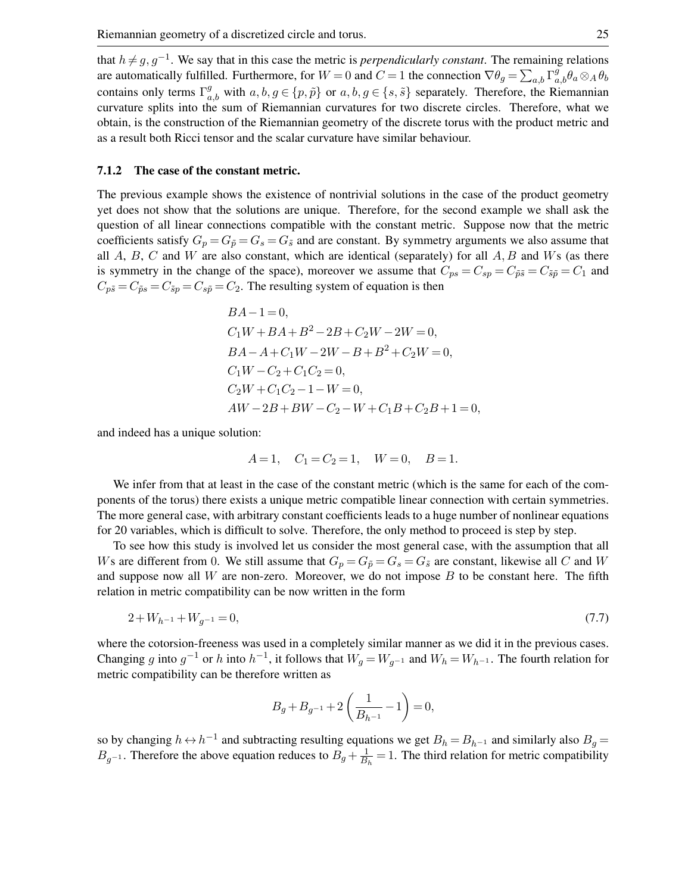that  $h \neq g, g^{-1}$ . We say that in this case the metric is *perpendicularly constant*. The remaining relations are automatically fulfilled. Furthermore, for  $W = 0$  and  $C = 1$  the connection  $\nabla \theta_g = \sum_{a,b} \Gamma^g_{a,b} \theta_a \otimes_A \theta_b$ contains only terms  $\Gamma_{a,b}^g$  with  $a,b,g \in \{p,\tilde{p}\}$  or  $a,b,g \in \{s,\tilde{s}\}$  separately. Therefore, the Riemannian curvature splits into the sum of Riemannian curvatures for two discrete circles. Therefore, what we obtain, is the construction of the Riemannian geometry of the discrete torus with the product metric and as a result both Ricci tensor and the scalar curvature have similar behaviour.

#### 7.1.2 The case of the constant metric.

The previous example shows the existence of nontrivial solutions in the case of the product geometry yet does not show that the solutions are unique. Therefore, for the second example we shall ask the question of all linear connections compatible with the constant metric. Suppose now that the metric coefficients satisfy  $G_p = G_{\tilde{p}} = G_s = G_{\tilde{s}}$  and are constant. By symmetry arguments we also assume that all  $A$ ,  $B$ ,  $C$  and  $W$  are also constant, which are identical (separately) for all  $A$ ,  $B$  and  $W$ s (as there is symmetry in the change of the space), moreover we assume that  $C_{ps} = C_{sp} = C_{\tilde{p}\tilde{s}} = C_{\tilde{s}\tilde{p}} = C_1$  and  $C_{p\tilde{s}} = C_{\tilde{p}s} = C_{\tilde{s}p} = C_{s\tilde{p}} = C_2$ . The resulting system of equation is then

$$
BA-1=0,
$$
  
\n
$$
C_1W+BA+B^2-2B+C_2W-2W=0,
$$
  
\n
$$
BA-A+C_1W-2W-B+B^2+C_2W=0,
$$
  
\n
$$
C_1W-C_2+C_1C_2=0,
$$
  
\n
$$
C_2W+C_1C_2-1-W=0,
$$
  
\n
$$
AW-2B+BW-C_2-W+C_1B+C_2B+1=0,
$$

and indeed has a unique solution:

$$
A=1
$$
,  $C_1=C_2=1$ ,  $W=0$ ,  $B=1$ .

We infer from that at least in the case of the constant metric (which is the same for each of the components of the torus) there exists a unique metric compatible linear connection with certain symmetries. The more general case, with arbitrary constant coefficients leads to a huge number of nonlinear equations for 20 variables, which is difficult to solve. Therefore, the only method to proceed is step by step.

To see how this study is involved let us consider the most general case, with the assumption that all Ws are different from 0. We still assume that  $G_p = G_{\tilde{p}} = G_s = G_{\tilde{s}}$  are constant, likewise all C and W and suppose now all  $W$  are non-zero. Moreover, we do not impose  $B$  to be constant here. The fifth relation in metric compatibility can be now written in the form

$$
2 + W_{h^{-1}} + W_{g^{-1}} = 0,\t\t(7.7)
$$

where the cotorsion-freeness was used in a completely similar manner as we did it in the previous cases. Changing g into  $g^{-1}$  or h into  $h^{-1}$ , it follows that  $W_g = W_{g^{-1}}$  and  $W_h = W_{h^{-1}}$ . The fourth relation for metric compatibility can be therefore written as

$$
B_g+B_{g^{-1}}+2\left(\frac{1}{B_{h^{-1}}}-1\right)=0,
$$

so by changing  $h \leftrightarrow h^{-1}$  and subtracting resulting equations we get  $B_h = B_{h^{-1}}$  and similarly also  $B_g =$  $B_{g^{-1}}$ . Therefore the above equation reduces to  $B_g + \frac{1}{B_g}$  $\frac{1}{B_h}$  = 1. The third relation for metric compatibility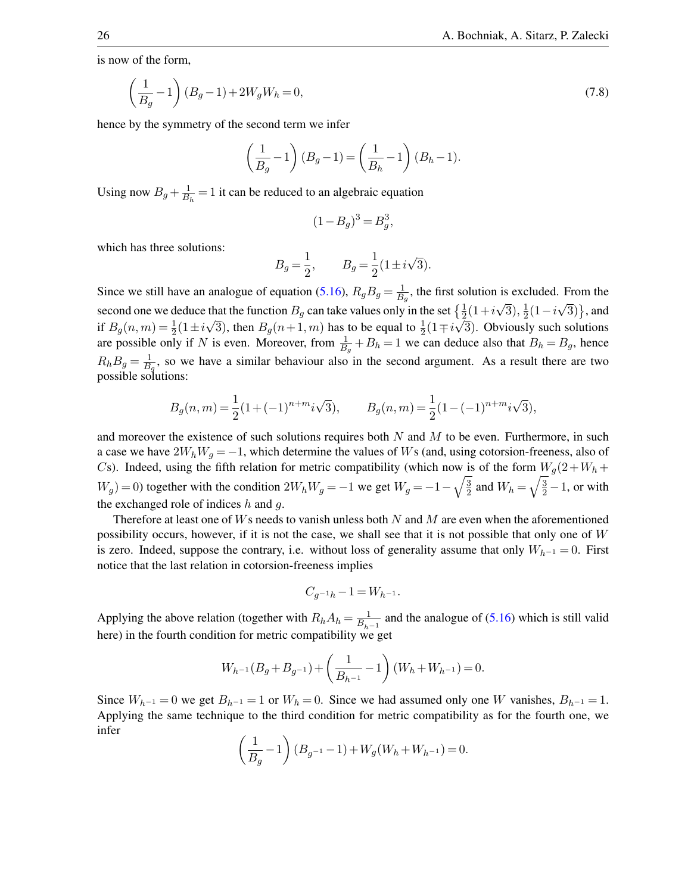is now of the form,

$$
\left(\frac{1}{B_g} - 1\right)(B_g - 1) + 2W_g W_h = 0,\t\t(7.8)
$$

hence by the symmetry of the second term we infer

$$
\left(\frac{1}{B_g} - 1\right)(B_g - 1) = \left(\frac{1}{B_h} - 1\right)(B_h - 1).
$$

Using now  $B_g + \frac{1}{B}$  $\frac{1}{B_h}$  = 1 it can be reduced to an algebraic equation

$$
(1 - B_g)^3 = B_g^3,
$$

which has three solutions:

$$
B_g = \frac{1}{2}
$$
,  $B_g = \frac{1}{2}(1 \pm i\sqrt{3}).$ 

Since we still have an analogue of equation [\(5.16\)](#page-11-0),  $R_g B_g = \frac{1}{B}$  $\frac{1}{B_g}$ , the first solution is excluded. From the second one we deduce that the function  $B_g$  can take values only in the set  $\{\frac{1}{2}(1+i\sqrt{3}),\frac{1}{2}\}$ that the function  $B_g$  can take values only in the set  $\{\frac{1}{2}(1+i\sqrt{3}), \frac{1}{2}(1-i\sqrt{3})\}$ , and if  $B_g(n,m) = \frac{1}{2}(1 \pm i\sqrt{3})$ , then  $B_g(n+1,m)$  has to be equal to  $\frac{1}{2}(1 \mp i\sqrt{3})$ . Obviously such solutions are possible only if N is even. Moreover, from  $\frac{1}{B_g} + B_h = 1$  we can deduce also that  $B_h = B_g$ , hence  $R_h B_g = \frac{1}{B}$  $\frac{1}{B_g}$ , so we have a similar behaviour also in the second argument. As a result there are two possible solutions:

$$
B_g(n,m)=\frac{1}{2}(1+(-1)^{n+m}i\sqrt{3}),\qquad B_g(n,m)=\frac{1}{2}(1-(-1)^{n+m}i\sqrt{3}),
$$

and moreover the existence of such solutions requires both  $N$  and  $M$  to be even. Furthermore, in such a case we have  $2W_hW_g = -1$ , which determine the values of Ws (and, using cotorsion-freeness, also of Cs). Indeed, using the fifth relation for metric compatibility (which now is of the form  $W_g(2+W_h +$  $W_g$ ) = 0) together with the condition  $2W_hW_g = -1$  we get  $W_g = -1 - \sqrt{\frac{3}{2}}$  $\frac{3}{2}$  and  $W_h = \sqrt{\frac{3}{2}} - 1$ , or with the exchanged role of indices  $h$  and  $q$ .

Therefore at least one of  $Ws$  needs to vanish unless both  $N$  and  $M$  are even when the aforementioned possibility occurs, however, if it is not the case, we shall see that it is not possible that only one of W is zero. Indeed, suppose the contrary, i.e. without loss of generality assume that only  $W_{h^{-1}} = 0$ . First notice that the last relation in cotorsion-freeness implies

$$
C_{g^{-1}h} - 1 = W_{h^{-1}}.
$$

Applying the above relation (together with  $R_h A_h = \frac{1}{B_H}$  $\frac{1}{B_{h-1}}$  and the analogue of [\(5.16\)](#page-11-0) which is still valid here) in the fourth condition for metric compatibility we get

$$
W_{h^{-1}}(B_g + B_{g^{-1}}) + \left(\frac{1}{B_{h^{-1}}} - 1\right)(W_h + W_{h^{-1}}) = 0.
$$

Since  $W_{h^{-1}} = 0$  we get  $B_{h^{-1}} = 1$  or  $W_h = 0$ . Since we had assumed only one W vanishes,  $B_{h^{-1}} = 1$ . Applying the same technique to the third condition for metric compatibility as for the fourth one, we infer

$$
\left(\frac{1}{B_g} - 1\right)(B_{g^{-1}} - 1) + W_g(W_h + W_{h^{-1}}) = 0.
$$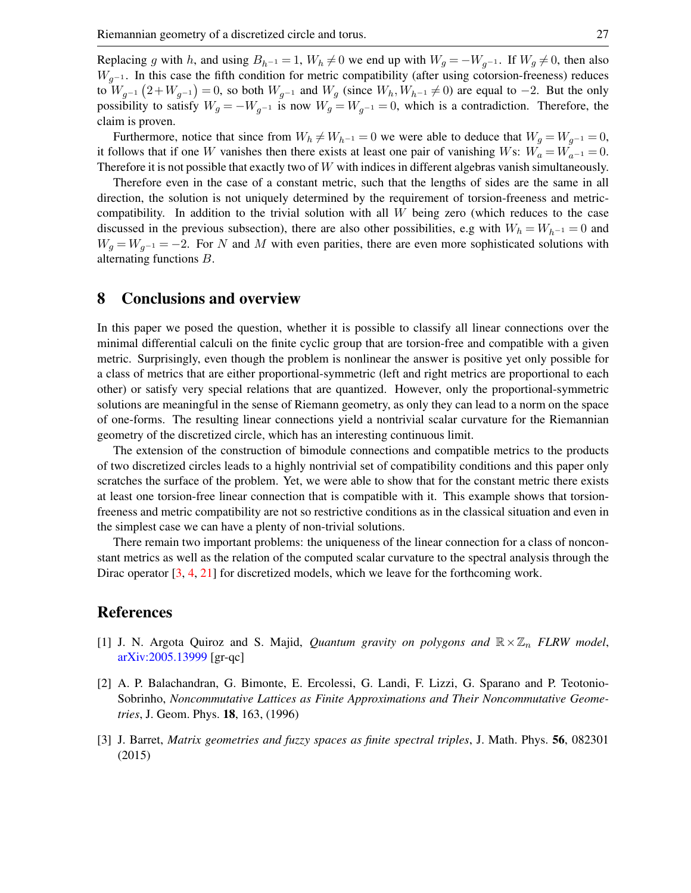Replacing g with h, and using  $B_{h^{-1}} = 1$ ,  $W_h \neq 0$  we end up with  $W_g = -W_{g^{-1}}$ . If  $W_g \neq 0$ , then also  $W_{q-1}$ . In this case the fifth condition for metric compatibility (after using cotorsion-freeness) reduces to  $W_{g^{-1}}(2+W_{g^{-1}})=0$ , so both  $W_{g^{-1}}$  and  $W_g$  (since  $W_h, W_{h^{-1}}\neq 0$ ) are equal to  $-2$ . But the only possibility to satisfy  $W_g = -W_{g^{-1}}$  is now  $W_g = W_{g^{-1}} = 0$ , which is a contradiction. Therefore, the claim is proven.

Furthermore, notice that since from  $W_h \neq W_{h^{-1}} = 0$  we were able to deduce that  $W_g = W_{g^{-1}} = 0$ , it follows that if one W vanishes then there exists at least one pair of vanishing Ws:  $W_a = W_{a^{-1}} = 0$ . Therefore it is not possible that exactly two of  $W$  with indices in different algebras vanish simultaneously.

Therefore even in the case of a constant metric, such that the lengths of sides are the same in all direction, the solution is not uniquely determined by the requirement of torsion-freeness and metriccompatibility. In addition to the trivial solution with all  $W$  being zero (which reduces to the case discussed in the previous subsection), there are also other possibilities, e.g with  $W_h = W_{h^{-1}} = 0$  and  $W_g = W_{g^{-1}} = -2$ . For N and M with even parities, there are even more sophisticated solutions with alternating functions B.

# 8 Conclusions and overview

In this paper we posed the question, whether it is possible to classify all linear connections over the minimal differential calculi on the finite cyclic group that are torsion-free and compatible with a given metric. Surprisingly, even though the problem is nonlinear the answer is positive yet only possible for a class of metrics that are either proportional-symmetric (left and right metrics are proportional to each other) or satisfy very special relations that are quantized. However, only the proportional-symmetric solutions are meaningful in the sense of Riemann geometry, as only they can lead to a norm on the space of one-forms. The resulting linear connections yield a nontrivial scalar curvature for the Riemannian geometry of the discretized circle, which has an interesting continuous limit.

The extension of the construction of bimodule connections and compatible metrics to the products of two discretized circles leads to a highly nontrivial set of compatibility conditions and this paper only scratches the surface of the problem. Yet, we were able to show that for the constant metric there exists at least one torsion-free linear connection that is compatible with it. This example shows that torsionfreeness and metric compatibility are not so restrictive conditions as in the classical situation and even in the simplest case we can have a plenty of non-trivial solutions.

There remain two important problems: the uniqueness of the linear connection for a class of nonconstant metrics as well as the relation of the computed scalar curvature to the spectral analysis through the Dirac operator [\[3,](#page-26-1) [4,](#page-27-16) [21\]](#page-27-17) for discretized models, which we leave for the forthcoming work.

### References

- <span id="page-26-2"></span>[1] J. N. Argota Quiroz and S. Majid, *Quantum gravity on polygons and*  $\mathbb{R} \times \mathbb{Z}_n$  *FLRW model*, [arXiv:2005.13999](http://arxiv.org/abs/2005.13999) [gr-qc]
- <span id="page-26-0"></span>[2] A. P. Balachandran, G. Bimonte, E. Ercolessi, G. Landi, F. Lizzi, G. Sparano and P. Teotonio-Sobrinho, *Noncommutative Lattices as Finite Approximations and Their Noncommutative Geometries*, J. Geom. Phys. 18, 163, (1996)
- <span id="page-26-1"></span>[3] J. Barret, *Matrix geometries and fuzzy spaces as finite spectral triples*, J. Math. Phys. 56, 082301 (2015)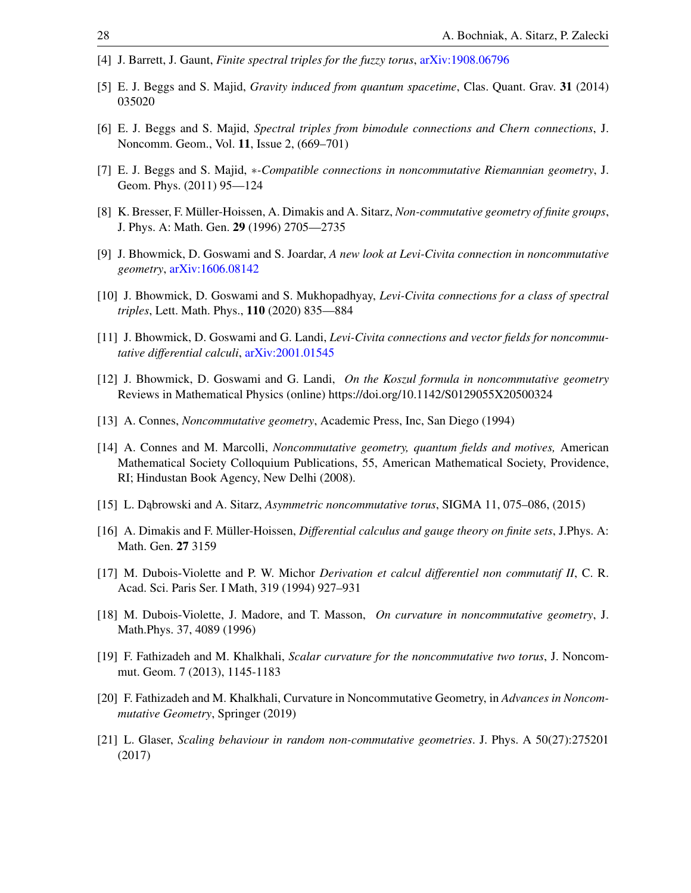- <span id="page-27-16"></span>[4] J. Barrett, J. Gaunt, *Finite spectral triples for the fuzzy torus*, [arXiv:1908.06796](http://arxiv.org/abs/1908.06796)
- <span id="page-27-11"></span>[5] E. J. Beggs and S. Majid, *Gravity induced from quantum spacetime*, Clas. Quant. Grav. 31 (2014) 035020
- <span id="page-27-9"></span>[6] E. J. Beggs and S. Majid, *Spectral triples from bimodule connections and Chern connections*, J. Noncomm. Geom., Vol. 11, Issue 2, (669–701)
- <span id="page-27-10"></span>[7] E. J. Beggs and S. Majid, ∗*-Compatible connections in noncommutative Riemannian geometry*, J. Geom. Phys. (2011) 95—124
- <span id="page-27-2"></span>[8] K. Bresser, F. Müller-Hoissen, A. Dimakis and A. Sitarz, *Non-commutative geometry of finite groups*, J. Phys. A: Math. Gen. 29 (1996) 2705—2735
- <span id="page-27-5"></span>[9] J. Bhowmick, D. Goswami and S. Joardar, *A new look at Levi-Civita connection in noncommutative geometry*, [arXiv:1606.08142](http://arxiv.org/abs/1606.08142)
- <span id="page-27-6"></span>[10] J. Bhowmick, D. Goswami and S. Mukhopadhyay, *Levi-Civita connections for a class of spectral triples*, Lett. Math. Phys., 110 (2020) 835—884
- <span id="page-27-7"></span>[11] J. Bhowmick, D. Goswami and G. Landi, *Levi-Civita connections and vector fields for noncommutative differential calculi*, [arXiv:2001.01545](http://arxiv.org/abs/2001.01545)
- <span id="page-27-8"></span>[12] J. Bhowmick, D. Goswami and G. Landi, *On the Koszul formula in noncommutative geometry* Reviews in Mathematical Physics (online) https://doi.org/10.1142/S0129055X20500324
- <span id="page-27-0"></span>[13] A. Connes, *Noncommutative geometry*, Academic Press, Inc, San Diego (1994)
- <span id="page-27-12"></span>[14] A. Connes and M. Marcolli, *Noncommutative geometry, quantum fields and motives,* American Mathematical Society Colloquium Publications, 55, American Mathematical Society, Providence, RI; Hindustan Book Agency, New Delhi (2008).
- <span id="page-27-15"></span>[15] L. Dabrowski and A. Sitarz, *Asymmetric noncommutative torus*, SIGMA 11, 075–086, (2015)
- <span id="page-27-1"></span>[16] A. Dimakis and F. Müller-Hoissen, *Differential calculus and gauge theory on finite sets*, J.Phys. A: Math. Gen. 27 3159
- <span id="page-27-3"></span>[17] M. Dubois-Violette and P. W. Michor *Derivation et calcul differentiel non commutatif II*, C. R. Acad. Sci. Paris Ser. I Math, 319 (1994) 927–931
- <span id="page-27-4"></span>[18] M. Dubois-Violette, J. Madore, and T. Masson, *On curvature in noncommutative geometry*, J. Math.Phys. 37, 4089 (1996)
- <span id="page-27-13"></span>[19] F. Fathizadeh and M. Khalkhali, *Scalar curvature for the noncommutative two torus*, J. Noncommut. Geom. 7 (2013), 1145-1183
- <span id="page-27-14"></span>[20] F. Fathizadeh and M. Khalkhali, Curvature in Noncommutative Geometry, in *Advances in Noncommutative Geometry*, Springer (2019)
- <span id="page-27-17"></span>[21] L. Glaser, *Scaling behaviour in random non-commutative geometries*. J. Phys. A 50(27):275201 (2017)